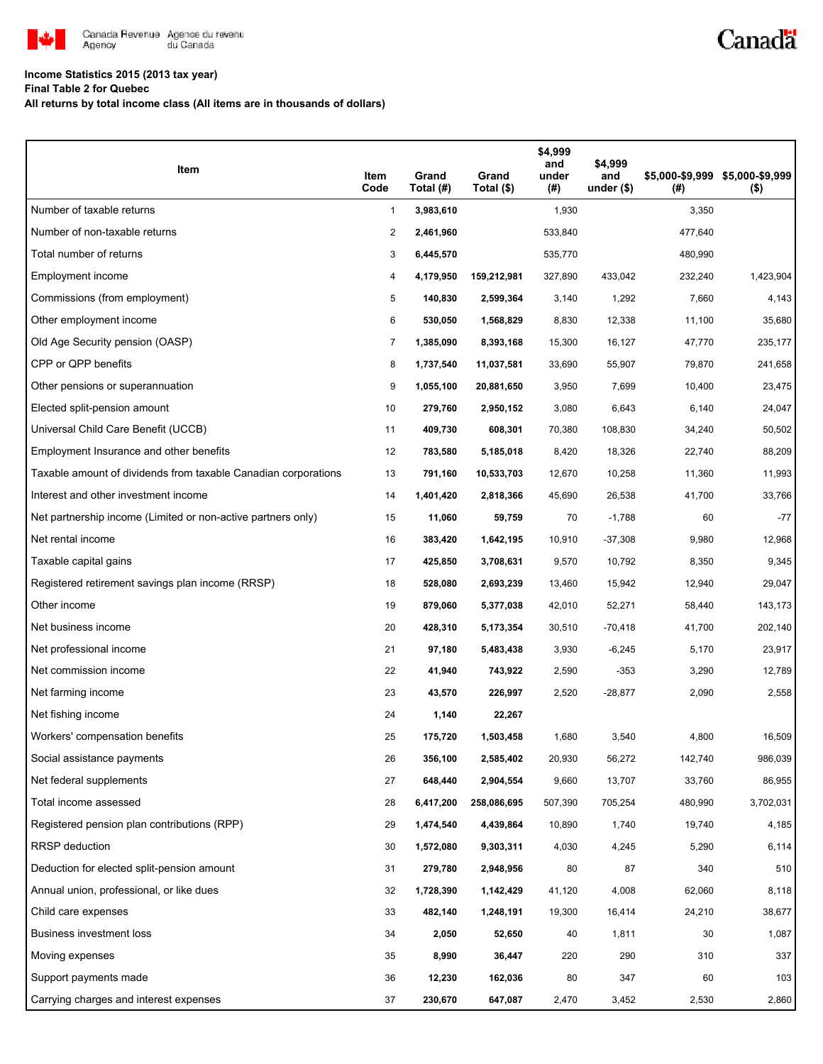

## **Income Statistics 2015 (2013 tax year)**

**Final Table 2 for Quebec**

**All returns by total income class (All items are in thousands of dollars)**

| Item                                                           | Item<br>Code   | Grand<br>Total (#) | Grand<br>Total (\$) | \$4,999<br>and<br>under<br>(#) | \$4,999<br>and<br>under $($)$ | (#)     | \$5,000-\$9,999 \$5,000-\$9,999<br>$($ \$) |
|----------------------------------------------------------------|----------------|--------------------|---------------------|--------------------------------|-------------------------------|---------|--------------------------------------------|
| Number of taxable returns                                      | $\mathbf{1}$   | 3,983,610          |                     | 1,930                          |                               | 3,350   |                                            |
| Number of non-taxable returns                                  | $\overline{2}$ | 2,461,960          |                     | 533,840                        |                               | 477,640 |                                            |
| Total number of returns                                        | 3              | 6,445,570          |                     | 535,770                        |                               | 480,990 |                                            |
| Employment income                                              | 4              | 4,179,950          | 159,212,981         | 327,890                        | 433,042                       | 232,240 | 1,423,904                                  |
| Commissions (from employment)                                  | 5              | 140,830            | 2,599,364           | 3,140                          | 1,292                         | 7,660   | 4,143                                      |
| Other employment income                                        | 6              | 530,050            | 1,568,829           | 8,830                          | 12,338                        | 11,100  | 35,680                                     |
| Old Age Security pension (OASP)                                | $\overline{7}$ | 1,385,090          | 8,393,168           | 15,300                         | 16,127                        | 47,770  | 235,177                                    |
| CPP or QPP benefits                                            | 8              | 1,737,540          | 11,037,581          | 33,690                         | 55,907                        | 79,870  | 241,658                                    |
| Other pensions or superannuation                               | 9              | 1,055,100          | 20,881,650          | 3,950                          | 7,699                         | 10,400  | 23,475                                     |
| Elected split-pension amount                                   | 10             | 279,760            | 2,950,152           | 3,080                          | 6,643                         | 6,140   | 24,047                                     |
| Universal Child Care Benefit (UCCB)                            | 11             | 409,730            | 608,301             | 70,380                         | 108,830                       | 34,240  | 50,502                                     |
| Employment Insurance and other benefits                        | 12             | 783,580            | 5,185,018           | 8,420                          | 18,326                        | 22,740  | 88,209                                     |
| Taxable amount of dividends from taxable Canadian corporations | 13             | 791,160            | 10,533,703          | 12,670                         | 10,258                        | 11,360  | 11,993                                     |
| Interest and other investment income                           | 14             | 1,401,420          | 2,818,366           | 45,690                         | 26,538                        | 41,700  | 33,766                                     |
| Net partnership income (Limited or non-active partners only)   | 15             | 11,060             | 59,759              | 70                             | $-1,788$                      | 60      | $-77$                                      |
| Net rental income                                              | 16             | 383,420            | 1,642,195           | 10,910                         | $-37,308$                     | 9,980   | 12,968                                     |
| Taxable capital gains                                          | 17             | 425,850            | 3,708,631           | 9,570                          | 10,792                        | 8,350   | 9,345                                      |
| Registered retirement savings plan income (RRSP)               | 18             | 528,080            | 2,693,239           | 13,460                         | 15,942                        | 12,940  | 29,047                                     |
| Other income                                                   | 19             | 879,060            | 5,377,038           | 42,010                         | 52,271                        | 58,440  | 143,173                                    |
| Net business income                                            | 20             | 428,310            | 5,173,354           | 30,510                         | $-70,418$                     | 41,700  | 202,140                                    |
| Net professional income                                        | 21             | 97,180             | 5,483,438           | 3,930                          | $-6,245$                      | 5,170   | 23,917                                     |
| Net commission income                                          | 22             | 41,940             | 743,922             | 2,590                          | $-353$                        | 3,290   | 12,789                                     |
| Net farming income                                             | 23             | 43,570             | 226,997             | 2,520                          | $-28,877$                     | 2,090   | 2,558                                      |
| Net fishing income                                             | 24             | 1,140              | 22,267              |                                |                               |         |                                            |
| Workers' compensation benefits                                 | 25             | 175,720            | 1,503,458           | 1,680                          | 3,540                         | 4,800   | 16,509                                     |
| Social assistance payments                                     | 26             | 356,100            | 2,585,402           | 20,930                         | 56,272                        | 142,740 | 986,039                                    |
| Net federal supplements                                        | 27             | 648,440            | 2,904,554           | 9,660                          | 13,707                        | 33,760  | 86,955                                     |
| Total income assessed                                          | 28             | 6,417,200          | 258,086,695         | 507,390                        | 705,254                       | 480,990 | 3,702,031                                  |
| Registered pension plan contributions (RPP)                    | 29             | 1,474,540          | 4,439,864           | 10,890                         | 1,740                         | 19,740  | 4,185                                      |
| <b>RRSP</b> deduction                                          | 30             | 1,572,080          | 9,303,311           | 4,030                          | 4,245                         | 5,290   | 6,114                                      |
| Deduction for elected split-pension amount                     | 31             | 279,780            | 2,948,956           | 80                             | 87                            | 340     | 510                                        |
| Annual union, professional, or like dues                       | 32             | 1,728,390          | 1,142,429           | 41,120                         | 4,008                         | 62,060  | 8,118                                      |
| Child care expenses                                            | 33             | 482,140            | 1,248,191           | 19,300                         | 16,414                        | 24,210  | 38,677                                     |
| Business investment loss                                       | 34             | 2,050              | 52,650              | 40                             | 1,811                         | 30      | 1,087                                      |
| Moving expenses                                                | 35             | 8,990              | 36,447              | 220                            | 290                           | 310     | 337                                        |
| Support payments made                                          | 36             | 12,230             | 162,036             | 80                             | 347                           | 60      | 103                                        |
| Carrying charges and interest expenses                         | 37             | 230,670            | 647,087             | 2,470                          | 3,452                         | 2,530   | 2,860                                      |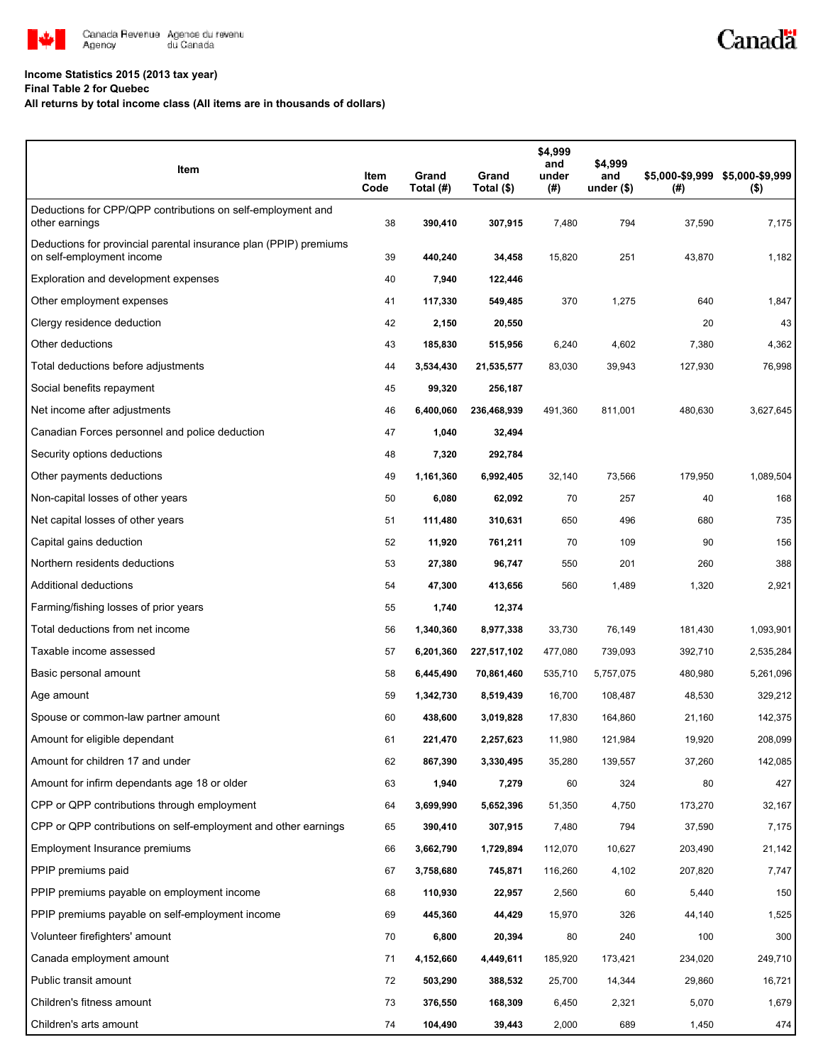

## **Income Statistics 2015 (2013 tax year)**

**Final Table 2 for Quebec**

## **All returns by total income class (All items are in thousands of dollars)**

| Item                                                                                           | Item<br>Code | Grand<br>Total (#) | Grand<br>Total (\$) | \$4,999<br>and<br>under<br>(#) | \$4,999<br>and<br>under $($)$ | (# )    | \$5,000-\$9,999 \$5,000-\$9,999<br>$($ \$) |
|------------------------------------------------------------------------------------------------|--------------|--------------------|---------------------|--------------------------------|-------------------------------|---------|--------------------------------------------|
| Deductions for CPP/QPP contributions on self-employment and<br>other earnings                  | 38           | 390,410            | 307,915             | 7,480                          | 794                           | 37,590  | 7,175                                      |
| Deductions for provincial parental insurance plan (PPIP) premiums<br>on self-employment income | 39           | 440,240            | 34,458              | 15,820                         | 251                           | 43,870  | 1,182                                      |
| Exploration and development expenses                                                           | 40           | 7,940              | 122,446             |                                |                               |         |                                            |
| Other employment expenses                                                                      | 41           | 117,330            | 549,485             | 370                            | 1,275                         | 640     | 1,847                                      |
| Clergy residence deduction                                                                     | 42           | 2,150              | 20,550              |                                |                               | 20      | 43                                         |
| Other deductions                                                                               | 43           | 185,830            | 515,956             | 6,240                          | 4,602                         | 7,380   | 4,362                                      |
| Total deductions before adjustments                                                            | 44           | 3,534,430          | 21,535,577          | 83,030                         | 39,943                        | 127,930 | 76,998                                     |
| Social benefits repayment                                                                      | 45           | 99,320             | 256,187             |                                |                               |         |                                            |
| Net income after adjustments                                                                   | 46           | 6,400,060          | 236,468,939         | 491,360                        | 811,001                       | 480,630 | 3,627,645                                  |
| Canadian Forces personnel and police deduction                                                 | 47           | 1,040              | 32,494              |                                |                               |         |                                            |
| Security options deductions                                                                    | 48           | 7,320              | 292,784             |                                |                               |         |                                            |
| Other payments deductions                                                                      | 49           | 1,161,360          | 6,992,405           | 32,140                         | 73,566                        | 179,950 | 1,089,504                                  |
| Non-capital losses of other years                                                              | 50           | 6,080              | 62,092              | 70                             | 257                           | 40      | 168                                        |
| Net capital losses of other years                                                              | 51           | 111,480            | 310,631             | 650                            | 496                           | 680     | 735                                        |
| Capital gains deduction                                                                        | 52           | 11,920             | 761,211             | 70                             | 109                           | 90      | 156                                        |
| Northern residents deductions                                                                  | 53           | 27,380             | 96,747              | 550                            | 201                           | 260     | 388                                        |
| Additional deductions                                                                          | 54           | 47,300             | 413,656             | 560                            | 1,489                         | 1,320   | 2,921                                      |
| Farming/fishing losses of prior years                                                          | 55           | 1,740              | 12,374              |                                |                               |         |                                            |
| Total deductions from net income                                                               | 56           | 1,340,360          | 8,977,338           | 33,730                         | 76,149                        | 181,430 | 1,093,901                                  |
| Taxable income assessed                                                                        | 57           | 6,201,360          | 227,517,102         | 477,080                        | 739,093                       | 392,710 | 2,535,284                                  |
| Basic personal amount                                                                          | 58           | 6,445,490          | 70,861,460          | 535,710                        | 5,757,075                     | 480,980 | 5,261,096                                  |
| Age amount                                                                                     | 59           | 1,342,730          | 8,519,439           | 16,700                         | 108,487                       | 48,530  | 329,212                                    |
| Spouse or common-law partner amount                                                            | 60           | 438,600            | 3,019,828           | 17,830                         | 164,860                       | 21,160  | 142,375                                    |
| Amount for eligible dependant                                                                  | 61           | 221,470            | 2,257,623           | 11,980                         | 121,984                       | 19,920  | 208,099                                    |
| Amount for children 17 and under                                                               | 62           | 867,390            | 3,330,495           | 35,280                         | 139,557                       | 37,260  | 142,085                                    |
| Amount for infirm dependants age 18 or older                                                   | 63           | 1,940              | 7,279               | 60                             | 324                           | 80      | 427                                        |
| CPP or QPP contributions through employment                                                    | 64           | 3,699,990          | 5,652,396           | 51,350                         | 4,750                         | 173,270 | 32,167                                     |
| CPP or QPP contributions on self-employment and other earnings                                 | 65           | 390,410            | 307,915             | 7,480                          | 794                           | 37,590  | 7,175                                      |
| Employment Insurance premiums                                                                  | 66           | 3,662,790          | 1,729,894           | 112,070                        | 10,627                        | 203,490 | 21,142                                     |
| PPIP premiums paid                                                                             | 67           | 3,758,680          | 745,871             | 116,260                        | 4,102                         | 207,820 | 7,747                                      |
| PPIP premiums payable on employment income                                                     | 68           | 110,930            | 22,957              | 2,560                          | 60                            | 5,440   | 150                                        |
| PPIP premiums payable on self-employment income                                                | 69           | 445,360            | 44,429              | 15,970                         | 326                           | 44,140  | 1,525                                      |
| Volunteer firefighters' amount                                                                 | 70           | 6,800              | 20,394              | 80                             | 240                           | 100     | 300                                        |
| Canada employment amount                                                                       | 71           | 4,152,660          | 4,449,611           | 185,920                        | 173,421                       | 234,020 | 249,710                                    |
| Public transit amount                                                                          | 72           | 503,290            | 388,532             | 25,700                         | 14,344                        | 29,860  | 16,721                                     |
| Children's fitness amount                                                                      | 73           | 376,550            | 168,309             | 6,450                          | 2,321                         | 5,070   | 1,679                                      |
| Children's arts amount                                                                         | 74           | 104,490            | 39,443              | 2,000                          | 689                           | 1,450   | 474                                        |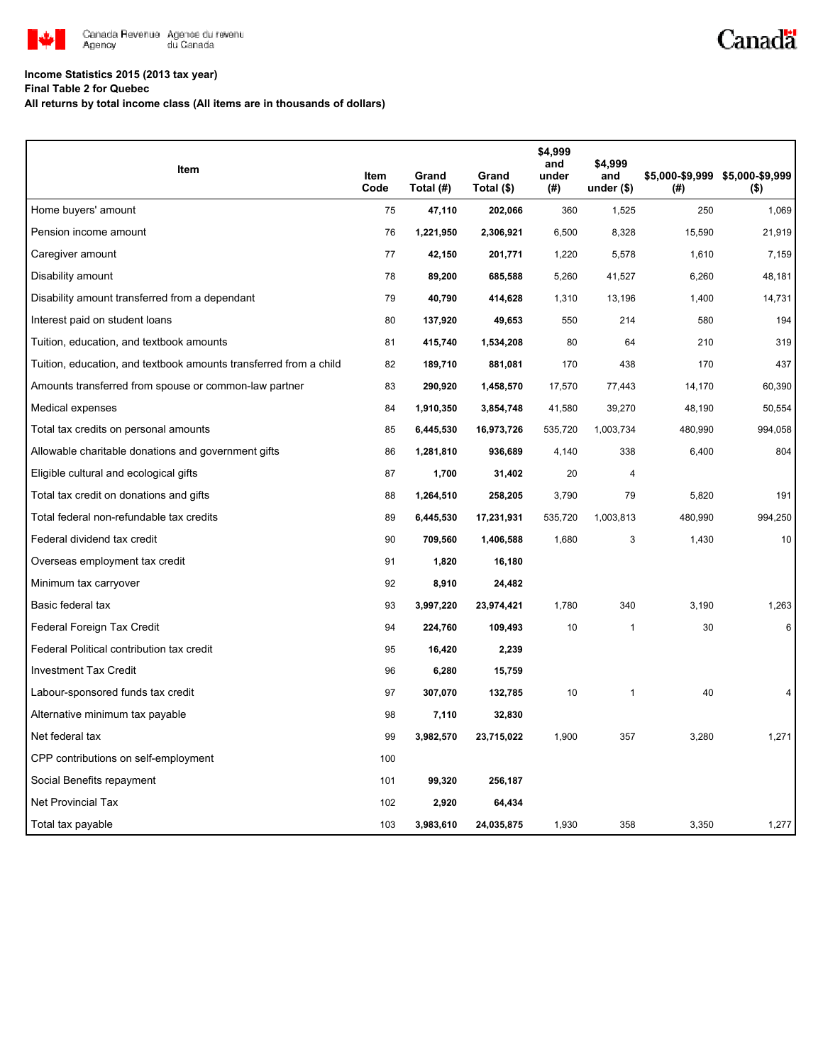

## **Income Statistics 2015 (2013 tax year)**

**Final Table 2 for Quebec**

**All returns by total income class (All items are in thousands of dollars)**

| Item                                                              | Item | Grand     | Grand      | \$4,999<br>and<br>under | \$4,999            |         |                                            |
|-------------------------------------------------------------------|------|-----------|------------|-------------------------|--------------------|---------|--------------------------------------------|
|                                                                   | Code | Total (#) | Total (\$) | (#)                     | and<br>under $($)$ | (#)     | \$5,000-\$9,999 \$5,000-\$9,999<br>$($ \$) |
| Home buyers' amount                                               | 75   | 47,110    | 202,066    | 360                     | 1,525              | 250     | 1,069                                      |
| Pension income amount                                             | 76   | 1,221,950 | 2,306,921  | 6,500                   | 8,328              | 15,590  | 21,919                                     |
| Caregiver amount                                                  | 77   | 42,150    | 201,771    | 1,220                   | 5,578              | 1,610   | 7,159                                      |
| Disability amount                                                 | 78   | 89,200    | 685,588    | 5,260                   | 41,527             | 6,260   | 48,181                                     |
| Disability amount transferred from a dependant                    | 79   | 40,790    | 414,628    | 1,310                   | 13,196             | 1,400   | 14,731                                     |
| Interest paid on student loans                                    | 80   | 137,920   | 49,653     | 550                     | 214                | 580     | 194                                        |
| Tuition, education, and textbook amounts                          | 81   | 415,740   | 1,534,208  | 80                      | 64                 | 210     | 319                                        |
| Tuition, education, and textbook amounts transferred from a child | 82   | 189,710   | 881,081    | 170                     | 438                | 170     | 437                                        |
| Amounts transferred from spouse or common-law partner             | 83   | 290,920   | 1,458,570  | 17,570                  | 77,443             | 14,170  | 60,390                                     |
| Medical expenses                                                  | 84   | 1,910,350 | 3,854,748  | 41,580                  | 39,270             | 48,190  | 50,554                                     |
| Total tax credits on personal amounts                             | 85   | 6,445,530 | 16,973,726 | 535,720                 | 1,003,734          | 480,990 | 994,058                                    |
| Allowable charitable donations and government gifts               | 86   | 1,281,810 | 936,689    | 4,140                   | 338                | 6,400   | 804                                        |
| Eligible cultural and ecological gifts                            | 87   | 1,700     | 31,402     | 20                      | 4                  |         |                                            |
| Total tax credit on donations and gifts                           | 88   | 1,264,510 | 258,205    | 3,790                   | 79                 | 5,820   | 191                                        |
| Total federal non-refundable tax credits                          | 89   | 6,445,530 | 17,231,931 | 535,720                 | 1,003,813          | 480,990 | 994,250                                    |
| Federal dividend tax credit                                       | 90   | 709,560   | 1,406,588  | 1,680                   | 3                  | 1.430   | 10                                         |
| Overseas employment tax credit                                    | 91   | 1,820     | 16,180     |                         |                    |         |                                            |
| Minimum tax carryover                                             | 92   | 8,910     | 24,482     |                         |                    |         |                                            |
| Basic federal tax                                                 | 93   | 3,997,220 | 23,974,421 | 1,780                   | 340                | 3,190   | 1,263                                      |
| Federal Foreign Tax Credit                                        | 94   | 224,760   | 109,493    | 10                      | $\mathbf{1}$       | 30      | 6                                          |
| Federal Political contribution tax credit                         | 95   | 16,420    | 2,239      |                         |                    |         |                                            |
| <b>Investment Tax Credit</b>                                      | 96   | 6,280     | 15,759     |                         |                    |         |                                            |
| Labour-sponsored funds tax credit                                 | 97   | 307,070   | 132,785    | 10                      | $\mathbf{1}$       | 40      |                                            |
| Alternative minimum tax payable                                   | 98   | 7,110     | 32,830     |                         |                    |         |                                            |
| Net federal tax                                                   | 99   | 3,982,570 | 23,715,022 | 1,900                   | 357                | 3,280   | 1,271                                      |
| CPP contributions on self-employment                              | 100  |           |            |                         |                    |         |                                            |
| Social Benefits repayment                                         | 101  | 99,320    | 256,187    |                         |                    |         |                                            |
| <b>Net Provincial Tax</b>                                         | 102  | 2,920     | 64,434     |                         |                    |         |                                            |
| Total tax payable                                                 | 103  | 3,983,610 | 24,035,875 | 1,930                   | 358                | 3,350   | 1,277                                      |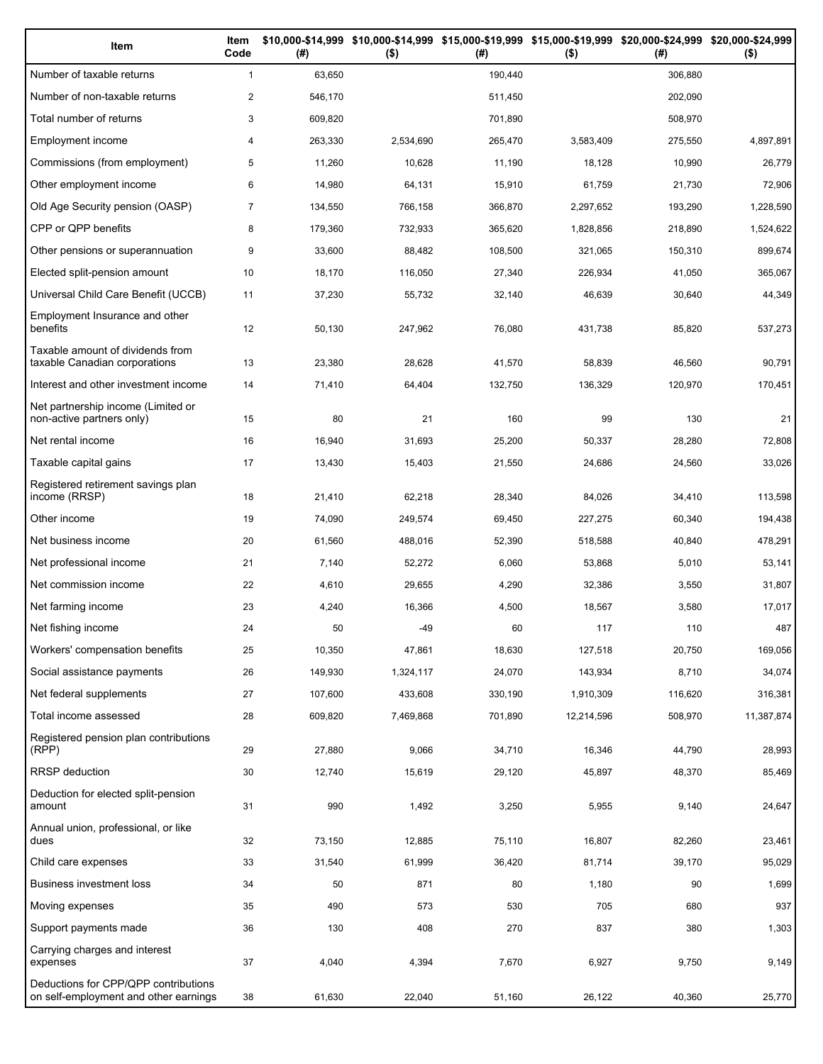| Item                                                                          | Item<br>Code   | (#)     | \$10,000-\$14,999 \$10,000-\$14,999 \$15,000-\$19,999 \$15,000-\$19,999 \$20,000-\$24,999 \$20,000-\$24,999<br>$($ \$) | (#)     | $($ \$)    | (# )    | $($ \$)    |
|-------------------------------------------------------------------------------|----------------|---------|------------------------------------------------------------------------------------------------------------------------|---------|------------|---------|------------|
| Number of taxable returns                                                     | $\mathbf{1}$   | 63,650  |                                                                                                                        | 190,440 |            | 306.880 |            |
| Number of non-taxable returns                                                 | $\overline{2}$ | 546,170 |                                                                                                                        | 511,450 |            | 202,090 |            |
| Total number of returns                                                       | 3              | 609,820 |                                                                                                                        | 701,890 |            | 508,970 |            |
| Employment income                                                             | 4              | 263,330 | 2,534,690                                                                                                              | 265,470 | 3,583,409  | 275,550 | 4,897,891  |
| Commissions (from employment)                                                 | 5              | 11,260  | 10,628                                                                                                                 | 11,190  | 18,128     | 10,990  | 26,779     |
| Other employment income                                                       | 6              | 14,980  | 64,131                                                                                                                 | 15,910  | 61,759     | 21,730  | 72,906     |
| Old Age Security pension (OASP)                                               | $\overline{7}$ | 134,550 | 766,158                                                                                                                | 366,870 | 2,297,652  | 193,290 | 1,228,590  |
| CPP or QPP benefits                                                           | 8              | 179,360 | 732,933                                                                                                                | 365,620 | 1,828,856  | 218,890 | 1,524,622  |
| Other pensions or superannuation                                              | 9              | 33,600  | 88,482                                                                                                                 | 108,500 | 321,065    | 150,310 | 899,674    |
| Elected split-pension amount                                                  | 10             | 18,170  | 116,050                                                                                                                | 27,340  | 226,934    | 41,050  | 365,067    |
| Universal Child Care Benefit (UCCB)                                           | 11             | 37,230  | 55,732                                                                                                                 | 32,140  | 46,639     | 30,640  | 44,349     |
| Employment Insurance and other<br>benefits                                    | 12             | 50,130  | 247,962                                                                                                                | 76,080  | 431,738    | 85,820  | 537,273    |
| Taxable amount of dividends from<br>taxable Canadian corporations             | 13             | 23,380  | 28,628                                                                                                                 | 41,570  | 58,839     | 46,560  | 90,791     |
| Interest and other investment income                                          | 14             | 71,410  | 64,404                                                                                                                 | 132,750 | 136,329    | 120,970 | 170,451    |
| Net partnership income (Limited or<br>non-active partners only)               | 15             | 80      | 21                                                                                                                     | 160     | 99         | 130     | 21         |
| Net rental income                                                             | 16             | 16,940  | 31,693                                                                                                                 | 25,200  | 50,337     | 28,280  | 72,808     |
| Taxable capital gains                                                         | 17             | 13,430  | 15,403                                                                                                                 | 21,550  | 24,686     | 24,560  | 33,026     |
| Registered retirement savings plan<br>income (RRSP)                           | 18             | 21,410  | 62,218                                                                                                                 | 28,340  | 84,026     | 34,410  | 113,598    |
| Other income                                                                  | 19             | 74,090  | 249,574                                                                                                                | 69,450  | 227,275    | 60,340  | 194,438    |
| Net business income                                                           | 20             | 61,560  | 488,016                                                                                                                | 52,390  | 518,588    | 40,840  | 478,291    |
| Net professional income                                                       | 21             | 7,140   | 52,272                                                                                                                 | 6,060   | 53,868     | 5,010   | 53,141     |
| Net commission income                                                         | 22             | 4,610   | 29,655                                                                                                                 | 4,290   | 32,386     | 3,550   | 31,807     |
| Net farming income                                                            | 23             | 4,240   | 16,366                                                                                                                 | 4,500   | 18,567     | 3,580   | 17,017     |
| Net fishing income                                                            | 24             | 50      | -49                                                                                                                    | 60      | 117        | 110     | 487        |
| Workers' compensation benefits                                                | 25             | 10,350  | 47,861                                                                                                                 | 18,630  | 127,518    | 20,750  | 169,056    |
| Social assistance payments                                                    | 26             | 149,930 | 1,324,117                                                                                                              | 24,070  | 143,934    | 8,710   | 34,074     |
| Net federal supplements                                                       | 27             | 107,600 | 433,608                                                                                                                | 330,190 | 1,910,309  | 116,620 | 316,381    |
| Total income assessed                                                         | 28             | 609,820 | 7,469,868                                                                                                              | 701,890 | 12,214,596 | 508,970 | 11,387,874 |
| Registered pension plan contributions<br>(RPP)                                | 29             | 27,880  | 9,066                                                                                                                  | 34,710  | 16,346     | 44,790  | 28,993     |
| RRSP deduction                                                                | 30             | 12,740  | 15,619                                                                                                                 | 29,120  | 45,897     | 48,370  | 85,469     |
| Deduction for elected split-pension<br>amount                                 | 31             | 990     | 1,492                                                                                                                  | 3,250   | 5,955      | 9,140   | 24,647     |
| Annual union, professional, or like<br>dues                                   | 32             | 73,150  | 12,885                                                                                                                 | 75,110  | 16,807     | 82,260  | 23,461     |
| Child care expenses                                                           | 33             | 31,540  | 61,999                                                                                                                 | 36,420  | 81,714     | 39,170  | 95,029     |
| Business investment loss                                                      | 34             | 50      | 871                                                                                                                    | 80      | 1,180      | 90      | 1,699      |
| Moving expenses                                                               | 35             | 490     | 573                                                                                                                    | 530     | 705        | 680     | 937        |
| Support payments made                                                         | 36             | 130     | 408                                                                                                                    | 270     | 837        | 380     | 1,303      |
| Carrying charges and interest<br>expenses                                     | 37             | 4,040   | 4,394                                                                                                                  | 7,670   | 6,927      | 9,750   | 9,149      |
| Deductions for CPP/QPP contributions<br>on self-employment and other earnings | 38             | 61,630  | 22,040                                                                                                                 | 51,160  | 26,122     | 40,360  | 25,770     |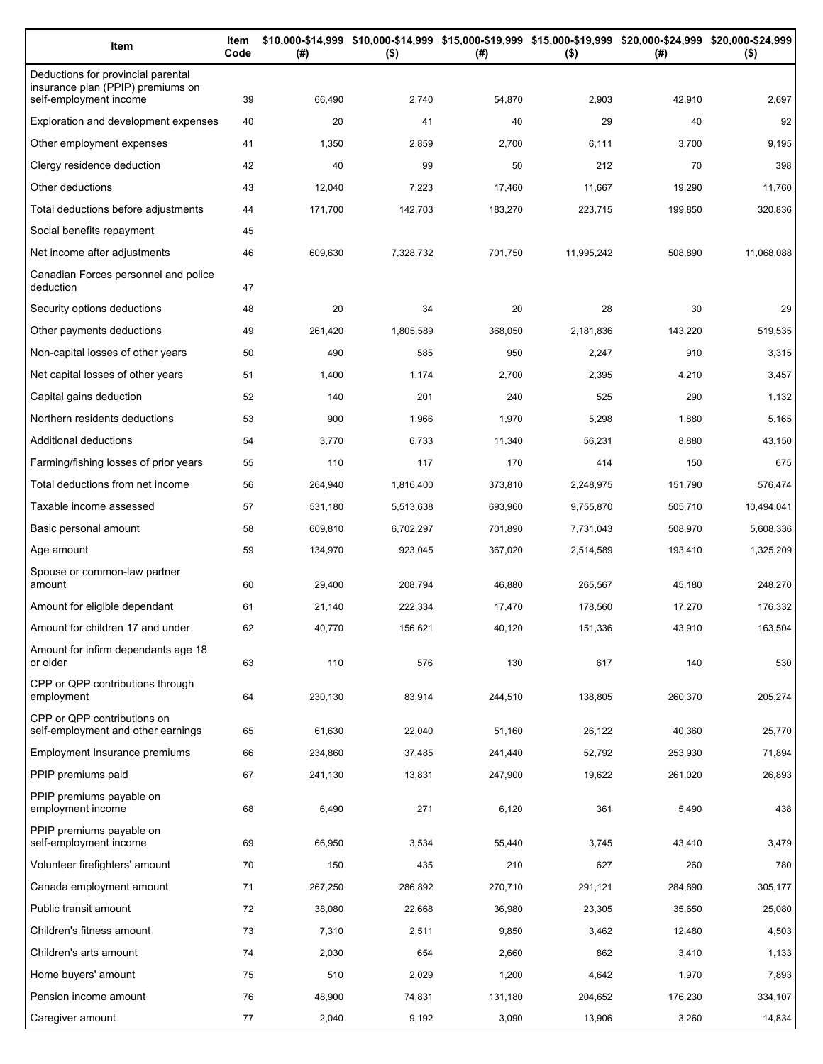| Item                                                                    | Item<br>Code | (# )    | \$10,000-\$14,999 \$10,000-\$14,999 \$15,000-\$19,999 \$15,000-\$19,999 \$20,000-\$24,999 \$20,000-\$24,999<br>$($ \$) | (#)     | $($ \$)    | (#)     | $($ \$)    |
|-------------------------------------------------------------------------|--------------|---------|------------------------------------------------------------------------------------------------------------------------|---------|------------|---------|------------|
| Deductions for provincial parental<br>insurance plan (PPIP) premiums on |              |         |                                                                                                                        |         |            |         |            |
| self-employment income                                                  | 39           | 66,490  | 2,740                                                                                                                  | 54,870  | 2,903      | 42,910  | 2,697      |
| Exploration and development expenses                                    | 40           | 20      | 41                                                                                                                     | 40      | 29         | 40      | 92         |
| Other employment expenses                                               | 41           | 1,350   | 2,859                                                                                                                  | 2,700   | 6,111      | 3,700   | 9,195      |
| Clergy residence deduction                                              | 42           | 40      | 99                                                                                                                     | 50      | 212        | 70      | 398        |
| Other deductions                                                        | 43           | 12,040  | 7,223                                                                                                                  | 17,460  | 11,667     | 19,290  | 11,760     |
| Total deductions before adjustments                                     | 44           | 171,700 | 142,703                                                                                                                | 183,270 | 223,715    | 199,850 | 320,836    |
| Social benefits repayment                                               | 45           |         |                                                                                                                        |         |            |         |            |
| Net income after adjustments                                            | 46           | 609,630 | 7,328,732                                                                                                              | 701,750 | 11,995,242 | 508,890 | 11,068,088 |
| Canadian Forces personnel and police<br>deduction                       | 47           |         |                                                                                                                        |         |            |         |            |
| Security options deductions                                             | 48           | 20      | 34                                                                                                                     | 20      | 28         | 30      | 29         |
| Other payments deductions                                               | 49           | 261.420 | 1,805,589                                                                                                              | 368,050 | 2,181,836  | 143,220 | 519,535    |
| Non-capital losses of other years                                       | 50           | 490     | 585                                                                                                                    | 950     | 2,247      | 910     | 3,315      |
| Net capital losses of other years                                       | 51           | 1,400   | 1,174                                                                                                                  | 2,700   | 2,395      | 4,210   | 3,457      |
| Capital gains deduction                                                 | 52           | 140     | 201                                                                                                                    | 240     | 525        | 290     | 1,132      |
| Northern residents deductions                                           | 53           | 900     | 1,966                                                                                                                  | 1,970   | 5,298      | 1,880   | 5,165      |
| Additional deductions                                                   | 54           | 3,770   | 6,733                                                                                                                  | 11,340  | 56,231     | 8,880   | 43,150     |
| Farming/fishing losses of prior years                                   | 55           | 110     | 117                                                                                                                    | 170     | 414        | 150     | 675        |
| Total deductions from net income                                        | 56           | 264,940 | 1,816,400                                                                                                              | 373,810 | 2,248,975  | 151,790 | 576,474    |
| Taxable income assessed                                                 | 57           | 531,180 | 5,513,638                                                                                                              | 693,960 | 9,755,870  | 505,710 | 10,494,041 |
| Basic personal amount                                                   | 58           | 609,810 | 6,702,297                                                                                                              | 701,890 | 7,731,043  | 508,970 | 5,608,336  |
| Age amount                                                              | 59           | 134,970 | 923,045                                                                                                                | 367,020 | 2,514,589  | 193,410 | 1,325,209  |
| Spouse or common-law partner<br>amount                                  | 60           | 29,400  | 208,794                                                                                                                | 46,880  | 265,567    | 45,180  | 248,270    |
| Amount for eligible dependant                                           | 61           | 21,140  | 222,334                                                                                                                | 17,470  | 178,560    | 17,270  | 176,332    |
| Amount for children 17 and under                                        | 62           | 40,770  | 156,621                                                                                                                | 40,120  | 151,336    | 43,910  | 163,504    |
| Amount for infirm dependants age 18<br>or older                         | 63           | 110     | 576                                                                                                                    | 130     | 617        | 140     | 530        |
| CPP or QPP contributions through                                        |              |         |                                                                                                                        |         |            |         |            |
| employment                                                              | 64           | 230,130 | 83,914                                                                                                                 | 244,510 | 138,805    | 260,370 | 205,274    |
| CPP or QPP contributions on<br>self-employment and other earnings       | 65           | 61,630  | 22,040                                                                                                                 | 51,160  | 26,122     | 40,360  | 25,770     |
| Employment Insurance premiums                                           | 66           | 234,860 | 37,485                                                                                                                 | 241,440 | 52,792     | 253,930 | 71,894     |
| PPIP premiums paid                                                      | 67           | 241,130 | 13,831                                                                                                                 | 247,900 | 19,622     | 261,020 | 26,893     |
| PPIP premiums payable on<br>employment income                           | 68           | 6,490   | 271                                                                                                                    | 6,120   | 361        | 5,490   | 438        |
| PPIP premiums payable on<br>self-employment income                      | 69           | 66,950  | 3,534                                                                                                                  | 55,440  | 3,745      | 43,410  | 3,479      |
| Volunteer firefighters' amount                                          | 70           | 150     | 435                                                                                                                    | 210     | 627        | 260     | 780        |
| Canada employment amount                                                | 71           | 267,250 | 286,892                                                                                                                | 270,710 | 291,121    | 284,890 | 305,177    |
| Public transit amount                                                   | 72           | 38,080  | 22,668                                                                                                                 | 36,980  | 23,305     | 35,650  | 25,080     |
| Children's fitness amount                                               | 73           | 7,310   | 2,511                                                                                                                  | 9,850   | 3,462      | 12,480  | 4,503      |
| Children's arts amount                                                  | 74           | 2,030   | 654                                                                                                                    | 2,660   | 862        | 3,410   | 1,133      |
| Home buyers' amount                                                     | 75           | 510     | 2,029                                                                                                                  | 1,200   | 4,642      | 1,970   | 7,893      |
| Pension income amount                                                   | 76           | 48,900  | 74,831                                                                                                                 | 131,180 | 204,652    | 176,230 | 334,107    |
| Caregiver amount                                                        | 77           | 2,040   | 9,192                                                                                                                  | 3,090   | 13,906     | 3,260   | 14,834     |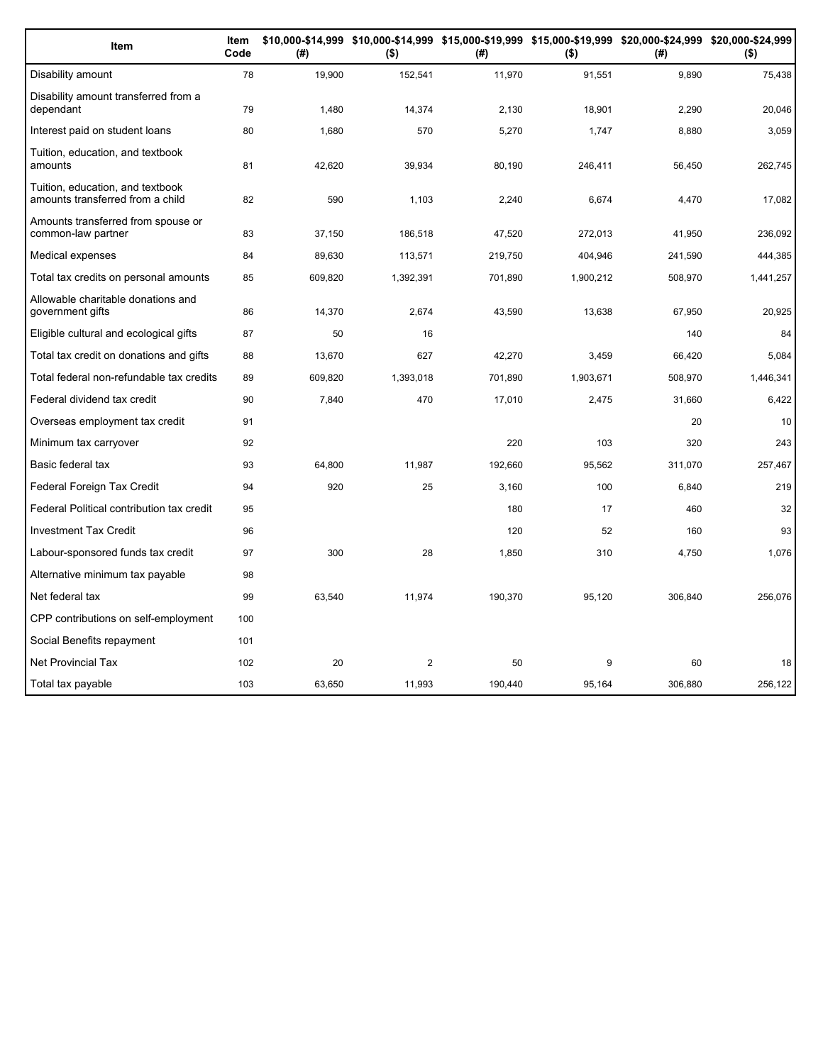| Item                                                                 | Item<br>Code | (#)     | $($ \$)        | (#)     | $($ \$)   | \$10,000-\$14,999 \$10,000-\$14,999 \$15,000-\$19,999 \$15,000-\$19,999 \$20,000-\$24,999 \$20,000-\$24,999<br>(# ) | $($ \$)   |
|----------------------------------------------------------------------|--------------|---------|----------------|---------|-----------|---------------------------------------------------------------------------------------------------------------------|-----------|
| Disability amount                                                    | 78           | 19,900  | 152,541        | 11,970  | 91,551    | 9,890                                                                                                               | 75,438    |
| Disability amount transferred from a<br>dependant                    | 79           | 1,480   | 14,374         | 2,130   | 18,901    | 2,290                                                                                                               | 20,046    |
| Interest paid on student loans                                       | 80           | 1,680   | 570            | 5,270   | 1,747     | 8,880                                                                                                               | 3,059     |
| Tuition, education, and textbook<br>amounts                          | 81           | 42,620  | 39,934         | 80,190  | 246,411   | 56,450                                                                                                              | 262,745   |
| Tuition, education, and textbook<br>amounts transferred from a child | 82           | 590     | 1,103          | 2,240   | 6,674     | 4,470                                                                                                               | 17,082    |
| Amounts transferred from spouse or<br>common-law partner             | 83           | 37,150  | 186,518        | 47,520  | 272,013   | 41,950                                                                                                              | 236,092   |
| Medical expenses                                                     | 84           | 89,630  | 113,571        | 219,750 | 404,946   | 241,590                                                                                                             | 444,385   |
| Total tax credits on personal amounts                                | 85           | 609,820 | 1,392,391      | 701,890 | 1,900,212 | 508,970                                                                                                             | 1,441,257 |
| Allowable charitable donations and<br>government gifts               | 86           | 14,370  | 2,674          | 43,590  | 13,638    | 67,950                                                                                                              | 20,925    |
| Eligible cultural and ecological gifts                               | 87           | 50      | 16             |         |           | 140                                                                                                                 | 84        |
| Total tax credit on donations and gifts                              | 88           | 13,670  | 627            | 42,270  | 3,459     | 66,420                                                                                                              | 5,084     |
| Total federal non-refundable tax credits                             | 89           | 609,820 | 1,393,018      | 701,890 | 1,903,671 | 508,970                                                                                                             | 1,446,341 |
| Federal dividend tax credit                                          | 90           | 7,840   | 470            | 17,010  | 2,475     | 31,660                                                                                                              | 6,422     |
| Overseas employment tax credit                                       | 91           |         |                |         |           | 20                                                                                                                  | 10        |
| Minimum tax carryover                                                | 92           |         |                | 220     | 103       | 320                                                                                                                 | 243       |
| Basic federal tax                                                    | 93           | 64,800  | 11,987         | 192,660 | 95,562    | 311,070                                                                                                             | 257,467   |
| Federal Foreign Tax Credit                                           | 94           | 920     | 25             | 3,160   | 100       | 6,840                                                                                                               | 219       |
| Federal Political contribution tax credit                            | 95           |         |                | 180     | 17        | 460                                                                                                                 | 32        |
| <b>Investment Tax Credit</b>                                         | 96           |         |                | 120     | 52        | 160                                                                                                                 | 93        |
| Labour-sponsored funds tax credit                                    | 97           | 300     | 28             | 1,850   | 310       | 4,750                                                                                                               | 1,076     |
| Alternative minimum tax payable                                      | 98           |         |                |         |           |                                                                                                                     |           |
| Net federal tax                                                      | 99           | 63,540  | 11,974         | 190,370 | 95,120    | 306,840                                                                                                             | 256,076   |
| CPP contributions on self-employment                                 | 100          |         |                |         |           |                                                                                                                     |           |
| Social Benefits repayment                                            | 101          |         |                |         |           |                                                                                                                     |           |
| <b>Net Provincial Tax</b>                                            | 102          | 20      | $\overline{2}$ | 50      | 9         | 60                                                                                                                  | 18        |
| Total tax payable                                                    | 103          | 63.650  | 11.993         | 190.440 | 95.164    | 306.880                                                                                                             | 256,122   |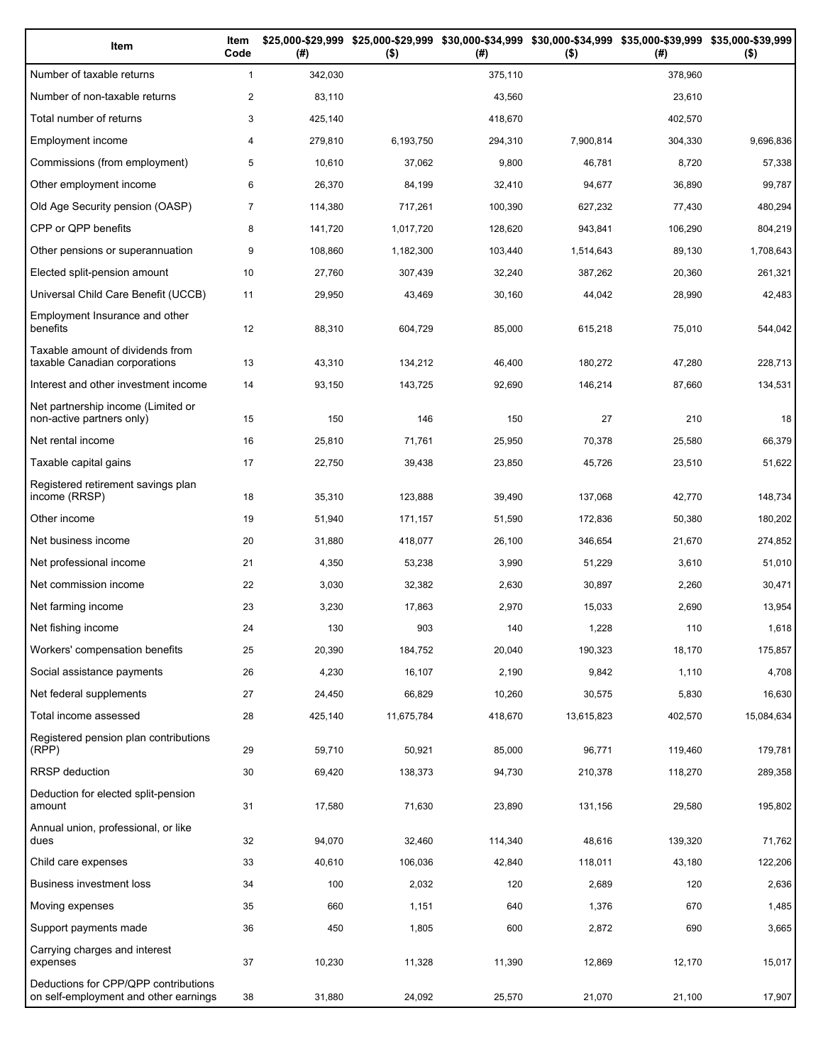| Item                                                                          | Item<br>Code   | (# )    | \$25,000-\$29,999 \$25,000-\$29,999<br>$($ \$) | (# )    | \$30,000-\$34,999 \$30,000-\$34,999 \$35,000-\$39,999 \$35,000-\$39,999<br>$($ \$) | (# )    | $($ \$)    |
|-------------------------------------------------------------------------------|----------------|---------|------------------------------------------------|---------|------------------------------------------------------------------------------------|---------|------------|
| Number of taxable returns                                                     | $\mathbf{1}$   | 342,030 |                                                | 375,110 |                                                                                    | 378.960 |            |
| Number of non-taxable returns                                                 | $\overline{2}$ | 83,110  |                                                | 43,560  |                                                                                    | 23,610  |            |
| Total number of returns                                                       | 3              | 425,140 |                                                | 418,670 |                                                                                    | 402,570 |            |
| Employment income                                                             | 4              | 279,810 | 6,193,750                                      | 294,310 | 7,900,814                                                                          | 304,330 | 9,696,836  |
| Commissions (from employment)                                                 | 5              | 10,610  | 37,062                                         | 9,800   | 46,781                                                                             | 8,720   | 57,338     |
| Other employment income                                                       | 6              | 26,370  | 84,199                                         | 32,410  | 94,677                                                                             | 36,890  | 99,787     |
| Old Age Security pension (OASP)                                               | 7              | 114,380 | 717,261                                        | 100,390 | 627,232                                                                            | 77,430  | 480,294    |
| CPP or QPP benefits                                                           | 8              | 141,720 | 1,017,720                                      | 128,620 | 943,841                                                                            | 106,290 | 804,219    |
| Other pensions or superannuation                                              | 9              | 108,860 | 1,182,300                                      | 103,440 | 1,514,643                                                                          | 89,130  | 1,708,643  |
| Elected split-pension amount                                                  | 10             | 27,760  | 307,439                                        | 32,240  | 387,262                                                                            | 20,360  | 261,321    |
| Universal Child Care Benefit (UCCB)                                           | 11             | 29,950  | 43,469                                         | 30,160  | 44,042                                                                             | 28,990  | 42,483     |
| Employment Insurance and other<br>benefits                                    | 12             | 88,310  | 604,729                                        | 85,000  | 615,218                                                                            | 75,010  | 544,042    |
| Taxable amount of dividends from<br>taxable Canadian corporations             | 13             | 43,310  | 134,212                                        | 46,400  | 180,272                                                                            | 47,280  | 228,713    |
| Interest and other investment income                                          | 14             | 93,150  | 143,725                                        | 92,690  | 146,214                                                                            | 87,660  | 134,531    |
| Net partnership income (Limited or<br>non-active partners only)               | 15             | 150     | 146                                            | 150     | 27                                                                                 | 210     | 18         |
| Net rental income                                                             | 16             | 25,810  | 71,761                                         | 25,950  | 70,378                                                                             | 25,580  | 66,379     |
| Taxable capital gains                                                         | 17             | 22,750  | 39,438                                         | 23,850  | 45,726                                                                             | 23,510  | 51,622     |
| Registered retirement savings plan<br>income (RRSP)                           | 18             | 35,310  | 123,888                                        | 39,490  | 137,068                                                                            | 42,770  | 148,734    |
| Other income                                                                  | 19             | 51,940  | 171,157                                        | 51,590  | 172,836                                                                            | 50,380  | 180,202    |
| Net business income                                                           | 20             | 31,880  | 418,077                                        | 26,100  | 346,654                                                                            | 21,670  | 274,852    |
| Net professional income                                                       | 21             | 4,350   | 53,238                                         | 3,990   | 51,229                                                                             | 3,610   | 51,010     |
| Net commission income                                                         | 22             | 3,030   | 32,382                                         | 2,630   | 30,897                                                                             | 2,260   | 30,471     |
| Net farming income                                                            | 23             | 3,230   | 17,863                                         | 2,970   | 15,033                                                                             | 2,690   | 13,954     |
| Net fishing income                                                            | 24             | 130     | 903                                            | 140     | 1,228                                                                              | 110     | 1.618      |
| Workers' compensation benefits                                                | 25             | 20,390  | 184,752                                        | 20,040  | 190,323                                                                            | 18,170  | 175,857    |
| Social assistance payments                                                    | 26             | 4,230   | 16,107                                         | 2,190   | 9,842                                                                              | 1,110   | 4,708      |
| Net federal supplements                                                       | 27             | 24,450  | 66,829                                         | 10,260  | 30,575                                                                             | 5,830   | 16,630     |
| Total income assessed                                                         | 28             | 425,140 | 11,675,784                                     | 418,670 | 13,615,823                                                                         | 402,570 | 15,084,634 |
| Registered pension plan contributions<br>(RPP)                                | 29             | 59,710  | 50,921                                         | 85,000  | 96,771                                                                             | 119,460 | 179,781    |
| RRSP deduction                                                                | 30             | 69,420  | 138,373                                        | 94,730  | 210,378                                                                            | 118,270 | 289,358    |
| Deduction for elected split-pension<br>amount                                 | 31             | 17,580  | 71,630                                         | 23,890  | 131,156                                                                            | 29,580  | 195,802    |
| Annual union, professional, or like<br>dues                                   | 32             | 94,070  | 32,460                                         | 114,340 | 48,616                                                                             | 139,320 | 71,762     |
| Child care expenses                                                           | 33             | 40,610  | 106,036                                        | 42,840  | 118,011                                                                            | 43,180  | 122,206    |
| Business investment loss                                                      | 34             | 100     | 2,032                                          | 120     | 2,689                                                                              | 120     | 2,636      |
| Moving expenses                                                               | 35             | 660     | 1,151                                          | 640     | 1,376                                                                              | 670     | 1,485      |
| Support payments made                                                         | 36             | 450     | 1,805                                          | 600     | 2,872                                                                              | 690     | 3,665      |
| Carrying charges and interest<br>expenses                                     | 37             | 10,230  | 11,328                                         | 11,390  | 12,869                                                                             | 12,170  | 15,017     |
| Deductions for CPP/QPP contributions<br>on self-employment and other earnings | 38             | 31,880  | 24,092                                         | 25,570  | 21,070                                                                             | 21,100  | 17,907     |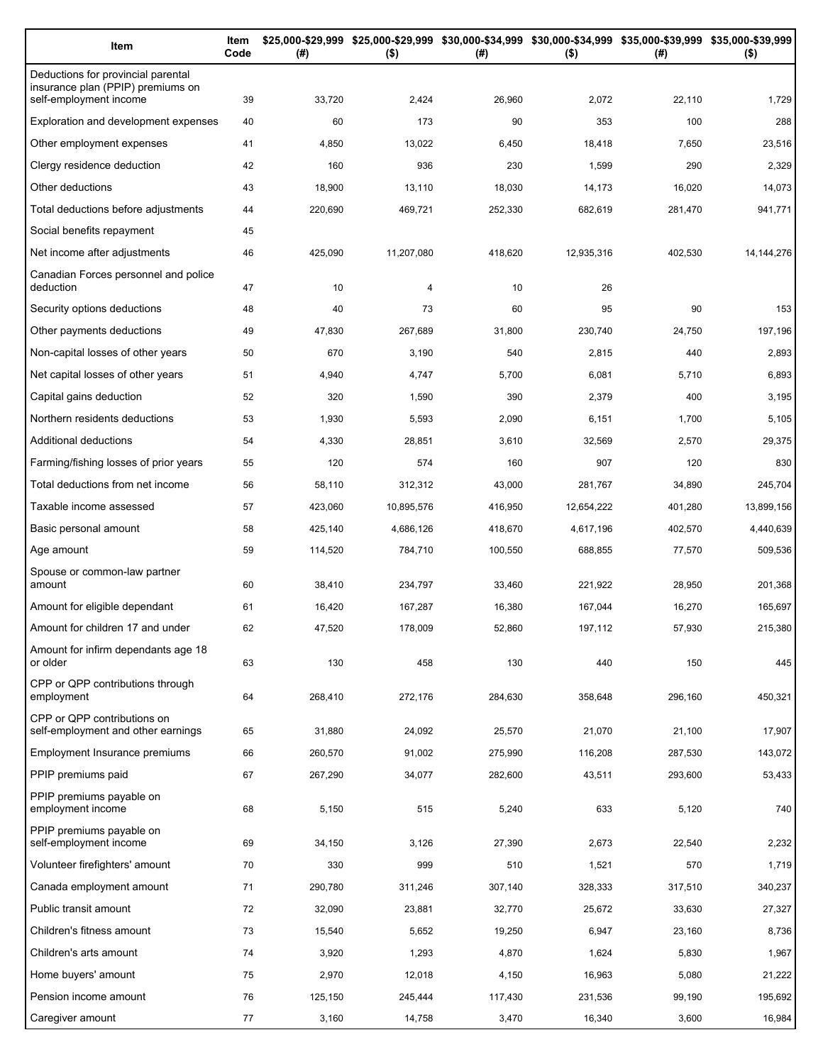| Item                                                                                              | Item<br>Code | (#)          | $($ \$)       | \$25,000-\$29,999 \$25,000-\$29,999 \$30,000-\$34,999 \$30,000-\$34,999 \$35,000-\$39,999 \$35,000-\$39,999<br>(#) | $($ \$)    | (#)          | $($ \$)         |
|---------------------------------------------------------------------------------------------------|--------------|--------------|---------------|--------------------------------------------------------------------------------------------------------------------|------------|--------------|-----------------|
| Deductions for provincial parental<br>insurance plan (PPIP) premiums on<br>self-employment income |              | 33,720       | 2,424         |                                                                                                                    | 2,072      | 22,110       | 1,729           |
| Exploration and development expenses                                                              | 39<br>40     | 60           | 173           | 26,960<br>90                                                                                                       | 353        | 100          | 288             |
|                                                                                                   |              |              |               |                                                                                                                    |            |              |                 |
| Other employment expenses<br>Clergy residence deduction                                           | 41<br>42     | 4,850<br>160 | 13,022<br>936 | 6,450<br>230                                                                                                       | 18,418     | 7,650<br>290 | 23,516<br>2,329 |
| Other deductions                                                                                  | 43           | 18,900       |               |                                                                                                                    | 1,599      |              |                 |
|                                                                                                   |              |              | 13,110        | 18,030                                                                                                             | 14,173     | 16,020       | 14,073          |
| Total deductions before adjustments                                                               | 44           | 220,690      | 469,721       | 252,330                                                                                                            | 682,619    | 281,470      | 941,771         |
| Social benefits repayment                                                                         | 45           |              |               |                                                                                                                    |            |              |                 |
| Net income after adjustments                                                                      | 46           | 425,090      | 11,207,080    | 418,620                                                                                                            | 12,935,316 | 402,530      | 14, 144, 276    |
| Canadian Forces personnel and police<br>deduction                                                 | 47           | 10           | 4             | 10                                                                                                                 | 26         |              |                 |
| Security options deductions                                                                       | 48           | 40           | 73            | 60                                                                                                                 | 95         | 90           | 153             |
| Other payments deductions                                                                         | 49           | 47,830       | 267,689       | 31,800                                                                                                             | 230,740    | 24,750       | 197,196         |
| Non-capital losses of other years                                                                 | 50           | 670          | 3,190         | 540                                                                                                                | 2,815      | 440          | 2,893           |
| Net capital losses of other years                                                                 | 51           | 4,940        | 4,747         | 5,700                                                                                                              | 6,081      | 5,710        | 6,893           |
| Capital gains deduction                                                                           | 52           | 320          | 1,590         | 390                                                                                                                | 2,379      | 400          | 3,195           |
| Northern residents deductions                                                                     | 53           | 1,930        | 5,593         | 2,090                                                                                                              | 6,151      | 1,700        | 5,105           |
| Additional deductions                                                                             | 54           | 4,330        | 28,851        | 3,610                                                                                                              | 32,569     | 2,570        | 29,375          |
| Farming/fishing losses of prior years                                                             | 55           | 120          | 574           | 160                                                                                                                | 907        | 120          | 830             |
| Total deductions from net income                                                                  | 56           | 58,110       | 312,312       | 43,000                                                                                                             | 281,767    | 34,890       | 245,704         |
| Taxable income assessed                                                                           | 57           | 423,060      | 10,895,576    | 416,950                                                                                                            | 12,654,222 | 401,280      | 13,899,156      |
| Basic personal amount                                                                             | 58           | 425,140      | 4,686,126     | 418,670                                                                                                            | 4,617,196  | 402,570      | 4,440,639       |
| Age amount                                                                                        | 59           | 114,520      | 784,710       | 100,550                                                                                                            | 688,855    | 77,570       | 509,536         |
| Spouse or common-law partner<br>amount                                                            | 60           | 38,410       | 234,797       | 33,460                                                                                                             | 221,922    | 28,950       | 201,368         |
| Amount for eligible dependant                                                                     | 61           | 16,420       | 167,287       | 16,380                                                                                                             | 167,044    | 16,270       | 165,697         |
| Amount for children 17 and under                                                                  | 62           | 47,520       | 178,009       | 52,860                                                                                                             | 197,112    | 57,930       | 215,380         |
| Amount for infirm dependants age 18                                                               |              |              |               |                                                                                                                    |            |              |                 |
| or older                                                                                          | 63           | 130          | 458           | 130                                                                                                                | 440        | 150          | 445             |
| CPP or QPP contributions through<br>employment                                                    | 64           | 268,410      | 272,176       | 284,630                                                                                                            | 358,648    | 296,160      | 450,321         |
| CPP or QPP contributions on<br>self-employment and other earnings                                 | 65           | 31,880       | 24,092        | 25,570                                                                                                             | 21,070     | 21,100       | 17,907          |
| Employment Insurance premiums                                                                     | 66           | 260,570      | 91,002        | 275,990                                                                                                            | 116,208    | 287,530      | 143,072         |
| PPIP premiums paid                                                                                | 67           | 267,290      | 34,077        | 282,600                                                                                                            | 43,511     | 293,600      | 53,433          |
| PPIP premiums payable on<br>employment income                                                     | 68           | 5,150        | 515           | 5,240                                                                                                              | 633        | 5,120        | 740             |
| PPIP premiums payable on<br>self-employment income                                                | 69           | 34,150       | 3,126         | 27,390                                                                                                             | 2,673      | 22,540       | 2,232           |
| Volunteer firefighters' amount                                                                    | 70           | 330          | 999           | 510                                                                                                                | 1,521      | 570          | 1,719           |
| Canada employment amount                                                                          | 71           | 290,780      | 311,246       | 307,140                                                                                                            | 328,333    | 317,510      | 340,237         |
| Public transit amount                                                                             | 72           | 32,090       | 23,881        | 32,770                                                                                                             | 25,672     | 33,630       | 27,327          |
| Children's fitness amount                                                                         | 73           | 15,540       | 5,652         | 19,250                                                                                                             | 6,947      | 23,160       | 8,736           |
| Children's arts amount                                                                            | 74           | 3,920        | 1,293         | 4,870                                                                                                              | 1,624      | 5,830        | 1,967           |
| Home buyers' amount                                                                               | 75           | 2,970        | 12,018        | 4,150                                                                                                              | 16,963     | 5,080        | 21,222          |
| Pension income amount                                                                             | 76           | 125,150      | 245,444       | 117,430                                                                                                            | 231,536    | 99,190       | 195,692         |
| Caregiver amount                                                                                  | 77           | 3,160        | 14,758        | 3,470                                                                                                              | 16,340     | 3,600        | 16,984          |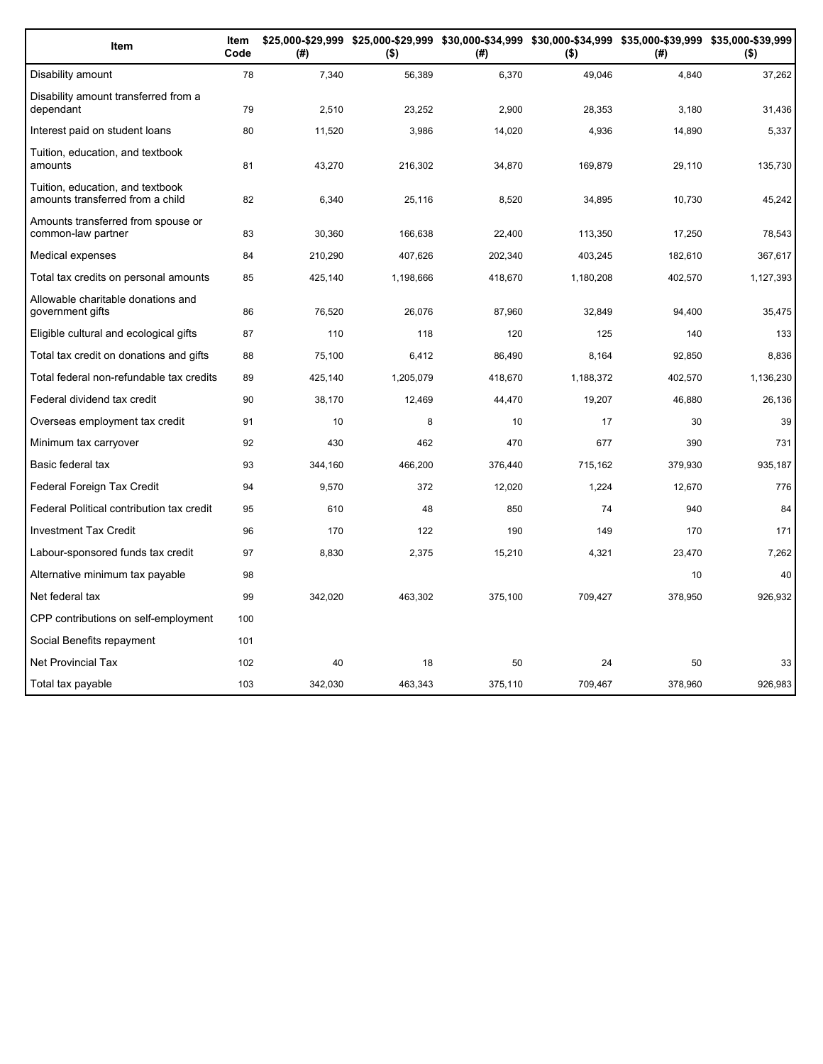| Item                                                                 | Item<br>Code | (#)     | $($ \$)   | (#)     | $($ \$)   | \$25,000-\$29,999 \$25,000-\$29,999 \$30,000-\$34,999 \$30,000-\$34,999 \$35,000-\$39,999 \$35,000-\$39,999<br>(#) | $($ \$)   |
|----------------------------------------------------------------------|--------------|---------|-----------|---------|-----------|--------------------------------------------------------------------------------------------------------------------|-----------|
| Disability amount                                                    | 78           | 7,340   | 56,389    | 6,370   | 49,046    | 4,840                                                                                                              | 37,262    |
| Disability amount transferred from a<br>dependant                    | 79           | 2,510   | 23,252    | 2,900   | 28,353    | 3,180                                                                                                              | 31,436    |
| Interest paid on student loans                                       | 80           | 11,520  | 3,986     | 14,020  | 4,936     | 14,890                                                                                                             | 5,337     |
| Tuition, education, and textbook<br>amounts                          | 81           | 43,270  | 216,302   | 34,870  | 169,879   | 29,110                                                                                                             | 135,730   |
| Tuition, education, and textbook<br>amounts transferred from a child | 82           | 6,340   | 25,116    | 8,520   | 34,895    | 10,730                                                                                                             | 45,242    |
| Amounts transferred from spouse or<br>common-law partner             | 83           | 30,360  | 166,638   | 22,400  | 113,350   | 17,250                                                                                                             | 78,543    |
| Medical expenses                                                     | 84           | 210,290 | 407,626   | 202,340 | 403,245   | 182,610                                                                                                            | 367,617   |
| Total tax credits on personal amounts                                | 85           | 425,140 | 1,198,666 | 418,670 | 1,180,208 | 402,570                                                                                                            | 1,127,393 |
| Allowable charitable donations and<br>government gifts               | 86           | 76,520  | 26,076    | 87,960  | 32,849    | 94,400                                                                                                             | 35,475    |
| Eligible cultural and ecological gifts                               | 87           | 110     | 118       | 120     | 125       | 140                                                                                                                | 133       |
| Total tax credit on donations and gifts                              | 88           | 75,100  | 6,412     | 86,490  | 8,164     | 92,850                                                                                                             | 8,836     |
| Total federal non-refundable tax credits                             | 89           | 425,140 | 1,205,079 | 418,670 | 1,188,372 | 402,570                                                                                                            | 1,136,230 |
| Federal dividend tax credit                                          | 90           | 38,170  | 12,469    | 44,470  | 19,207    | 46,880                                                                                                             | 26,136    |
| Overseas employment tax credit                                       | 91           | 10      | 8         | 10      | 17        | 30                                                                                                                 | 39        |
| Minimum tax carryover                                                | 92           | 430     | 462       | 470     | 677       | 390                                                                                                                | 731       |
| Basic federal tax                                                    | 93           | 344,160 | 466,200   | 376,440 | 715,162   | 379,930                                                                                                            | 935,187   |
| Federal Foreign Tax Credit                                           | 94           | 9,570   | 372       | 12,020  | 1,224     | 12,670                                                                                                             | 776       |
| Federal Political contribution tax credit                            | 95           | 610     | 48        | 850     | 74        | 940                                                                                                                | 84        |
| <b>Investment Tax Credit</b>                                         | 96           | 170     | 122       | 190     | 149       | 170                                                                                                                | 171       |
| Labour-sponsored funds tax credit                                    | 97           | 8,830   | 2,375     | 15,210  | 4,321     | 23,470                                                                                                             | 7,262     |
| Alternative minimum tax payable                                      | 98           |         |           |         |           | 10                                                                                                                 | 40        |
| Net federal tax                                                      | 99           | 342,020 | 463,302   | 375,100 | 709,427   | 378,950                                                                                                            | 926,932   |
| CPP contributions on self-employment                                 | 100          |         |           |         |           |                                                                                                                    |           |
| Social Benefits repayment                                            | 101          |         |           |         |           |                                                                                                                    |           |
| <b>Net Provincial Tax</b>                                            | 102          | 40      | 18        | 50      | 24        | 50                                                                                                                 | 33        |
| Total tax payable                                                    | 103          | 342.030 | 463.343   | 375.110 | 709.467   | 378.960                                                                                                            | 926,983   |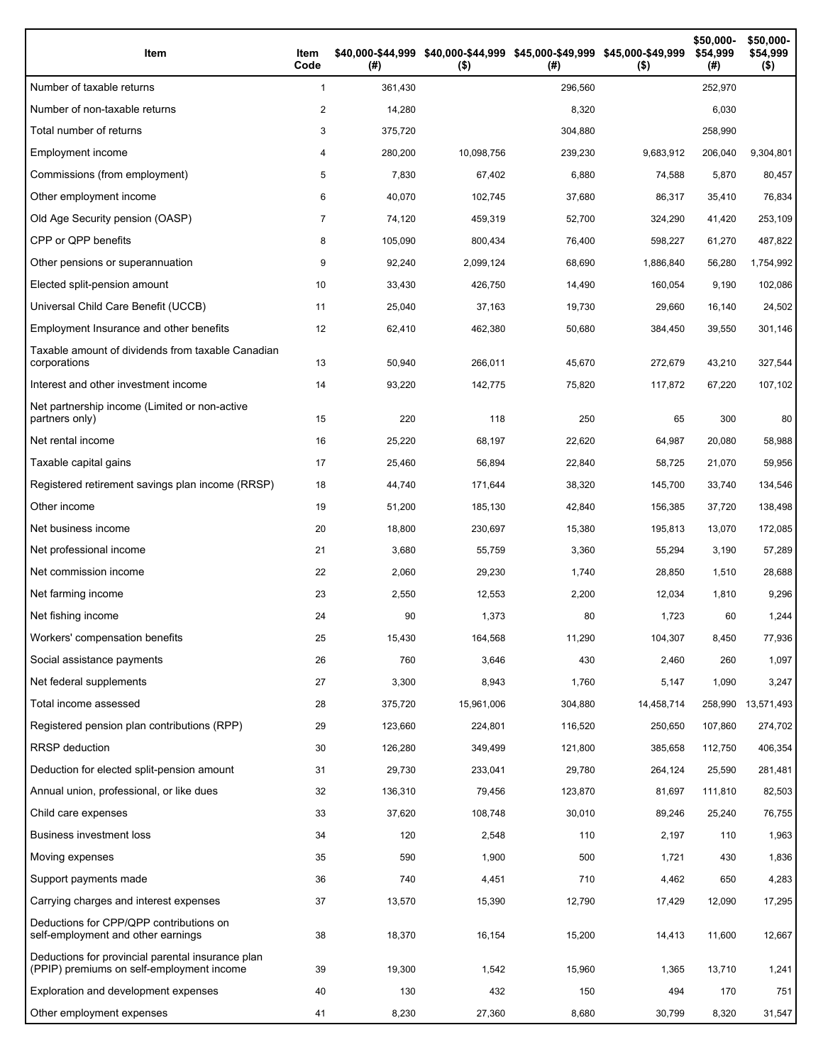| Item                                                                                           | Item<br>Code | (# )    | \$40,000-\$44,999 \$40,000-\$44,999 \$45,000-\$49,999 \$45,000-\$49,999<br>$($ \$) | (# )    | $($ \$)    | \$50,000-<br>\$54,999<br>(#) | \$50,000-<br>\$54,999<br>$($ \$) |
|------------------------------------------------------------------------------------------------|--------------|---------|------------------------------------------------------------------------------------|---------|------------|------------------------------|----------------------------------|
| Number of taxable returns                                                                      | $\mathbf{1}$ | 361,430 |                                                                                    | 296,560 |            | 252,970                      |                                  |
| Number of non-taxable returns                                                                  | 2            | 14,280  |                                                                                    | 8,320   |            | 6,030                        |                                  |
| Total number of returns                                                                        | 3            | 375,720 |                                                                                    | 304,880 |            | 258,990                      |                                  |
| Employment income                                                                              | 4            | 280,200 | 10,098,756                                                                         | 239,230 | 9,683,912  | 206,040                      | 9,304,801                        |
| Commissions (from employment)                                                                  | 5            | 7,830   | 67,402                                                                             | 6,880   | 74,588     | 5,870                        | 80,457                           |
| Other employment income                                                                        | 6            | 40,070  | 102.745                                                                            | 37,680  | 86,317     | 35,410                       | 76,834                           |
| Old Age Security pension (OASP)                                                                | 7            | 74,120  | 459,319                                                                            | 52,700  | 324,290    | 41,420                       | 253,109                          |
| CPP or QPP benefits                                                                            | 8            | 105,090 | 800,434                                                                            | 76,400  | 598,227    | 61,270                       | 487,822                          |
| Other pensions or superannuation                                                               | 9            | 92,240  | 2,099,124                                                                          | 68,690  | 1,886,840  | 56,280                       | 1,754,992                        |
| Elected split-pension amount                                                                   | 10           | 33,430  | 426,750                                                                            | 14,490  | 160,054    | 9,190                        | 102,086                          |
| Universal Child Care Benefit (UCCB)                                                            | 11           | 25,040  | 37,163                                                                             | 19,730  | 29,660     | 16,140                       | 24,502                           |
| Employment Insurance and other benefits                                                        | 12           | 62,410  | 462,380                                                                            | 50,680  | 384,450    | 39,550                       | 301,146                          |
| Taxable amount of dividends from taxable Canadian<br>corporations                              | 13           | 50,940  | 266,011                                                                            | 45,670  | 272,679    | 43,210                       | 327,544                          |
| Interest and other investment income                                                           | 14           | 93,220  | 142,775                                                                            | 75,820  | 117,872    | 67,220                       | 107,102                          |
| Net partnership income (Limited or non-active<br>partners only)                                | 15           | 220     | 118                                                                                | 250     | 65         | 300                          | 80                               |
| Net rental income                                                                              | 16           | 25,220  | 68,197                                                                             | 22,620  | 64,987     | 20,080                       | 58,988                           |
| Taxable capital gains                                                                          | 17           | 25,460  | 56,894                                                                             | 22,840  | 58,725     | 21,070                       | 59,956                           |
| Registered retirement savings plan income (RRSP)                                               | 18           | 44,740  | 171,644                                                                            | 38,320  | 145,700    | 33,740                       | 134,546                          |
| Other income                                                                                   | 19           | 51,200  | 185,130                                                                            | 42,840  | 156,385    | 37,720                       | 138,498                          |
| Net business income                                                                            | 20           | 18,800  | 230,697                                                                            | 15,380  | 195,813    | 13,070                       | 172,085                          |
| Net professional income                                                                        | 21           | 3,680   | 55,759                                                                             | 3,360   | 55,294     | 3,190                        | 57,289                           |
| Net commission income                                                                          | 22           | 2,060   | 29,230                                                                             | 1,740   | 28,850     | 1,510                        | 28,688                           |
| Net farming income                                                                             | 23           | 2,550   | 12,553                                                                             | 2,200   | 12,034     | 1,810                        | 9,296                            |
| Net fishing income                                                                             | 24           | 90      | 1,373                                                                              | 80      | 1,723      | 60                           | 1,244                            |
| Workers' compensation benefits                                                                 | 25           | 15,430  | 164,568                                                                            | 11,290  | 104,307    | 8,450                        | 77,936                           |
| Social assistance payments                                                                     | 26           | 760     | 3,646                                                                              | 430     | 2,460      | 260                          | 1,097                            |
| Net federal supplements                                                                        | 27           | 3,300   | 8,943                                                                              | 1,760   | 5,147      | 1,090                        | 3,247                            |
| Total income assessed                                                                          | 28           | 375,720 | 15,961,006                                                                         | 304,880 | 14,458,714 | 258,990                      | 13,571,493                       |
| Registered pension plan contributions (RPP)                                                    | 29           | 123,660 | 224,801                                                                            | 116,520 | 250,650    | 107,860                      | 274,702                          |
| RRSP deduction                                                                                 | 30           | 126,280 | 349,499                                                                            | 121,800 | 385,658    | 112,750                      | 406,354                          |
| Deduction for elected split-pension amount                                                     | 31           | 29,730  | 233,041                                                                            | 29,780  | 264,124    | 25,590                       | 281,481                          |
| Annual union, professional, or like dues                                                       | 32           | 136,310 | 79,456                                                                             | 123,870 | 81,697     | 111,810                      | 82,503                           |
| Child care expenses                                                                            | 33           | 37,620  | 108,748                                                                            | 30,010  | 89,246     | 25,240                       | 76,755                           |
| <b>Business investment loss</b>                                                                | 34           | 120     | 2,548                                                                              | 110     | 2,197      | 110                          | 1,963                            |
| Moving expenses                                                                                | 35           | 590     | 1,900                                                                              | 500     | 1,721      | 430                          | 1,836                            |
| Support payments made                                                                          | 36           | 740     | 4,451                                                                              | 710     | 4,462      | 650                          | 4,283                            |
| Carrying charges and interest expenses                                                         | 37           | 13,570  | 15,390                                                                             | 12,790  | 17,429     | 12,090                       | 17,295                           |
| Deductions for CPP/QPP contributions on<br>self-employment and other earnings                  | 38           | 18,370  | 16,154                                                                             | 15,200  | 14,413     | 11,600                       | 12,667                           |
| Deductions for provincial parental insurance plan<br>(PPIP) premiums on self-employment income | 39           | 19,300  | 1,542                                                                              | 15,960  | 1,365      | 13,710                       | 1,241                            |
| Exploration and development expenses                                                           | 40           | 130     | 432                                                                                | 150     | 494        | 170                          | 751                              |
| Other employment expenses                                                                      | 41           | 8,230   | 27,360                                                                             | 8,680   | 30,799     | 8,320                        | 31,547                           |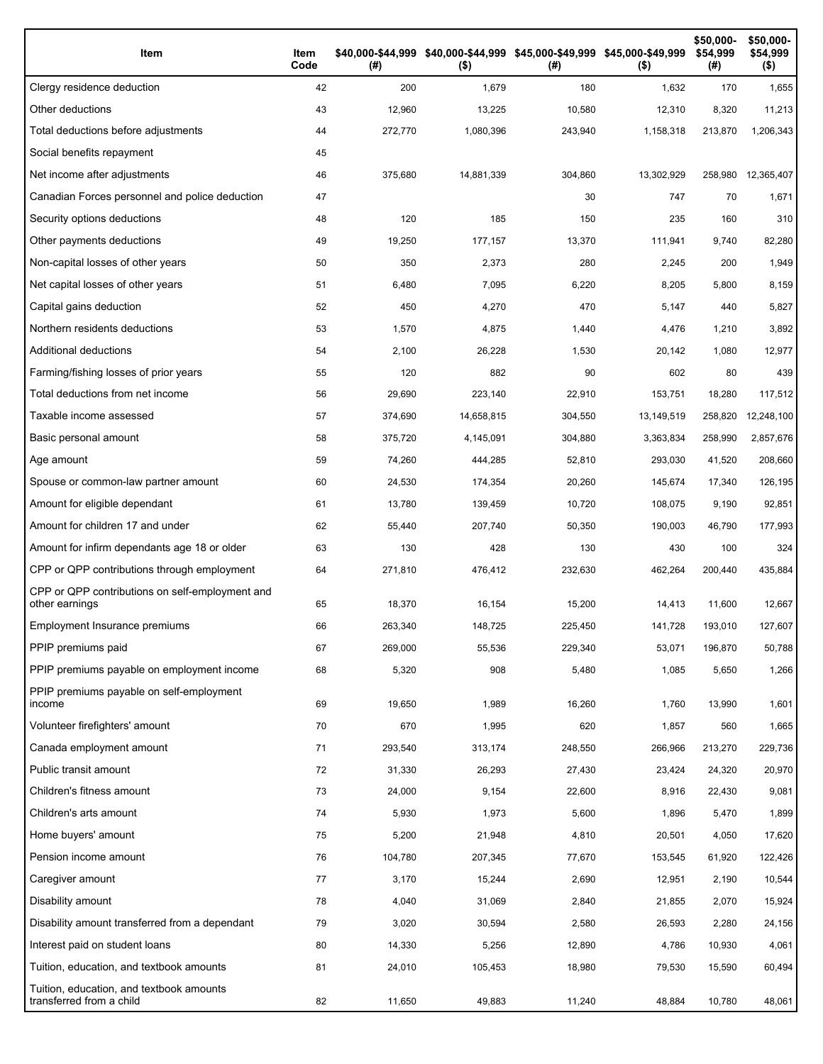| Item                                                                 | Item<br>Code | $($ #)  | $($ \$)    | $($ #)  | \$40,000-\$44,999 \$40,000-\$44,999 \$45,000-\$49,999 \$45,000-\$49,999<br>$($ \$) | \$50,000-<br>\$54,999<br>(#) | \$50,000-<br>\$54,999<br>$($ \$) |
|----------------------------------------------------------------------|--------------|---------|------------|---------|------------------------------------------------------------------------------------|------------------------------|----------------------------------|
| Clergy residence deduction                                           | 42           | 200     | 1,679      | 180     | 1,632                                                                              | 170                          | 1,655                            |
| Other deductions                                                     | 43           | 12,960  | 13,225     | 10,580  | 12,310                                                                             | 8,320                        | 11,213                           |
| Total deductions before adjustments                                  | 44           | 272,770 | 1,080,396  | 243,940 | 1,158,318                                                                          | 213,870                      | 1,206,343                        |
| Social benefits repayment                                            | 45           |         |            |         |                                                                                    |                              |                                  |
| Net income after adjustments                                         | 46           | 375,680 | 14,881,339 | 304,860 | 13,302,929                                                                         | 258,980                      | 12,365,407                       |
| Canadian Forces personnel and police deduction                       | 47           |         |            | 30      | 747                                                                                | 70                           | 1,671                            |
| Security options deductions                                          | 48           | 120     | 185        | 150     | 235                                                                                | 160                          | 310                              |
| Other payments deductions                                            | 49           | 19,250  | 177,157    | 13,370  | 111,941                                                                            | 9,740                        | 82,280                           |
| Non-capital losses of other years                                    | 50           | 350     | 2,373      | 280     | 2,245                                                                              | 200                          | 1,949                            |
| Net capital losses of other years                                    | 51           | 6,480   | 7,095      | 6,220   | 8,205                                                                              | 5,800                        | 8,159                            |
| Capital gains deduction                                              | 52           | 450     | 4,270      | 470     | 5,147                                                                              | 440                          | 5,827                            |
| Northern residents deductions                                        | 53           | 1,570   | 4,875      | 1,440   | 4,476                                                                              | 1,210                        | 3,892                            |
| Additional deductions                                                | 54           | 2,100   | 26,228     | 1,530   | 20,142                                                                             | 1,080                        | 12,977                           |
| Farming/fishing losses of prior years                                | 55           | 120     | 882        | 90      | 602                                                                                | 80                           | 439                              |
| Total deductions from net income                                     | 56           | 29,690  | 223,140    | 22,910  | 153,751                                                                            | 18,280                       | 117,512                          |
| Taxable income assessed                                              | 57           | 374,690 | 14,658,815 | 304,550 | 13,149,519                                                                         | 258,820                      | 12,248,100                       |
| Basic personal amount                                                | 58           | 375,720 | 4,145,091  | 304,880 | 3,363,834                                                                          | 258,990                      | 2,857,676                        |
| Age amount                                                           | 59           | 74,260  | 444,285    | 52,810  | 293,030                                                                            | 41,520                       | 208,660                          |
| Spouse or common-law partner amount                                  | 60           | 24,530  | 174,354    | 20,260  | 145,674                                                                            | 17,340                       | 126,195                          |
| Amount for eligible dependant                                        | 61           | 13,780  | 139,459    | 10,720  | 108,075                                                                            | 9,190                        | 92,851                           |
| Amount for children 17 and under                                     | 62           | 55,440  | 207,740    | 50,350  | 190,003                                                                            | 46,790                       | 177,993                          |
| Amount for infirm dependants age 18 or older                         | 63           | 130     | 428        | 130     | 430                                                                                | 100                          | 324                              |
| CPP or QPP contributions through employment                          | 64           | 271,810 | 476,412    | 232,630 | 462,264                                                                            | 200,440                      | 435,884                          |
| CPP or QPP contributions on self-employment and<br>other earnings    | 65           | 18,370  | 16,154     | 15,200  | 14,413                                                                             | 11,600                       | 12,667                           |
| Employment Insurance premiums                                        | 66           | 263,340 | 148,725    | 225,450 | 141,728                                                                            | 193,010                      | 127,607                          |
| PPIP premiums paid                                                   | 67           | 269,000 | 55,536     | 229,340 | 53,071                                                                             | 196,870                      | 50,788                           |
| PPIP premiums payable on employment income                           | 68           | 5,320   | 908        | 5,480   | 1,085                                                                              | 5,650                        | 1,266                            |
| PPIP premiums payable on self-employment<br>income                   | 69           | 19,650  | 1,989      | 16,260  | 1,760                                                                              | 13,990                       | 1,601                            |
| Volunteer firefighters' amount                                       | 70           | 670     | 1,995      | 620     | 1,857                                                                              | 560                          | 1,665                            |
| Canada employment amount                                             | 71           | 293,540 | 313,174    | 248,550 | 266,966                                                                            | 213,270                      | 229,736                          |
| Public transit amount                                                | 72           | 31,330  | 26,293     | 27,430  | 23,424                                                                             | 24,320                       | 20,970                           |
| Children's fitness amount                                            | 73           | 24,000  | 9,154      | 22,600  | 8,916                                                                              | 22,430                       | 9,081                            |
| Children's arts amount                                               | 74           | 5,930   | 1,973      | 5,600   | 1,896                                                                              | 5,470                        | 1,899                            |
| Home buyers' amount                                                  | 75           | 5,200   | 21,948     | 4,810   | 20,501                                                                             | 4,050                        | 17,620                           |
| Pension income amount                                                | 76           | 104,780 | 207,345    | 77,670  | 153,545                                                                            | 61,920                       | 122,426                          |
| Caregiver amount                                                     | 77           | 3,170   | 15,244     | 2,690   | 12,951                                                                             | 2,190                        | 10,544                           |
| Disability amount                                                    | 78           | 4,040   | 31,069     | 2,840   | 21,855                                                                             | 2,070                        | 15,924                           |
| Disability amount transferred from a dependant                       | 79           | 3,020   | 30,594     | 2,580   | 26,593                                                                             | 2,280                        | 24,156                           |
| Interest paid on student loans                                       | 80           | 14,330  | 5,256      | 12,890  | 4,786                                                                              | 10,930                       | 4,061                            |
| Tuition, education, and textbook amounts                             | 81           | 24,010  | 105,453    | 18,980  | 79,530                                                                             | 15,590                       | 60,494                           |
| Tuition, education, and textbook amounts<br>transferred from a child | 82           | 11,650  | 49,883     | 11,240  | 48,884                                                                             | 10,780                       | 48,061                           |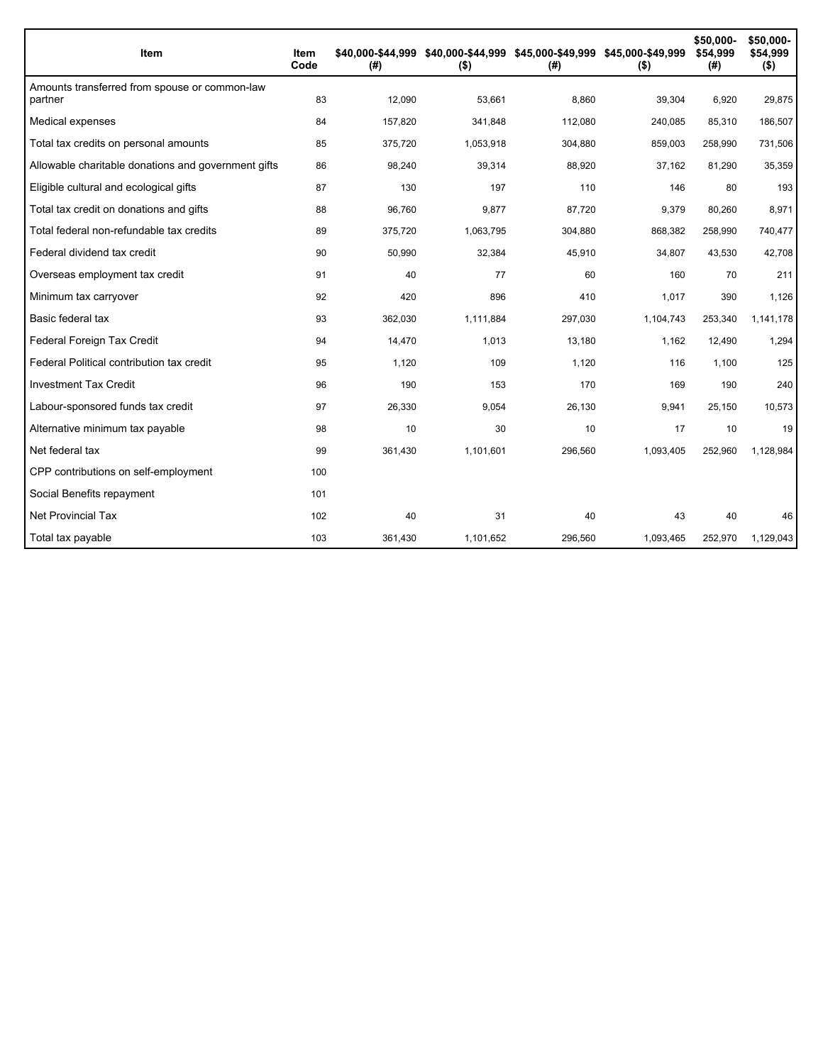| Item                                                     | Item<br>Code | \$40,000-\$44.999<br>(#) | \$40,000-\$44,999 \$45,000-\$49,999 \$45,000-\$49,999<br>$($ \$) | (#)     | $($ \$)   | \$50,000-<br>\$54,999<br>(#) | \$50,000-<br>\$54,999<br>$($ \$) |
|----------------------------------------------------------|--------------|--------------------------|------------------------------------------------------------------|---------|-----------|------------------------------|----------------------------------|
| Amounts transferred from spouse or common-law<br>partner | 83           | 12,090                   | 53,661                                                           | 8,860   | 39,304    | 6,920                        | 29,875                           |
| Medical expenses                                         | 84           | 157,820                  | 341,848                                                          | 112,080 | 240,085   | 85,310                       | 186,507                          |
| Total tax credits on personal amounts                    | 85           | 375,720                  | 1,053,918                                                        | 304,880 | 859,003   | 258,990                      | 731,506                          |
| Allowable charitable donations and government gifts      | 86           | 98,240                   | 39,314                                                           | 88,920  | 37,162    | 81,290                       | 35,359                           |
| Eligible cultural and ecological gifts                   | 87           | 130                      | 197                                                              | 110     | 146       | 80                           | 193                              |
| Total tax credit on donations and gifts                  | 88           | 96,760                   | 9,877                                                            | 87,720  | 9,379     | 80,260                       | 8,971                            |
| Total federal non-refundable tax credits                 | 89           | 375,720                  | 1,063,795                                                        | 304,880 | 868,382   | 258,990                      | 740,477                          |
| Federal dividend tax credit                              | 90           | 50,990                   | 32,384                                                           | 45,910  | 34,807    | 43,530                       | 42,708                           |
| Overseas employment tax credit                           | 91           | 40                       | 77                                                               | 60      | 160       | 70                           | 211                              |
| Minimum tax carryover                                    | 92           | 420                      | 896                                                              | 410     | 1,017     | 390                          | 1,126                            |
| Basic federal tax                                        | 93           | 362,030                  | 1,111,884                                                        | 297,030 | 1,104,743 | 253,340                      | 1,141,178                        |
| Federal Foreign Tax Credit                               | 94           | 14,470                   | 1,013                                                            | 13,180  | 1,162     | 12,490                       | 1,294                            |
| Federal Political contribution tax credit                | 95           | 1,120                    | 109                                                              | 1,120   | 116       | 1,100                        | 125                              |
| <b>Investment Tax Credit</b>                             | 96           | 190                      | 153                                                              | 170     | 169       | 190                          | 240                              |
| Labour-sponsored funds tax credit                        | 97           | 26,330                   | 9,054                                                            | 26,130  | 9,941     | 25,150                       | 10,573                           |
| Alternative minimum tax payable                          | 98           | 10                       | 30                                                               | 10      | 17        | 10                           | 19                               |
| Net federal tax                                          | 99           | 361,430                  | 1,101,601                                                        | 296,560 | 1,093,405 | 252,960                      | 1,128,984                        |
| CPP contributions on self-employment                     | 100          |                          |                                                                  |         |           |                              |                                  |
| Social Benefits repayment                                | 101          |                          |                                                                  |         |           |                              |                                  |
| <b>Net Provincial Tax</b>                                | 102          | 40                       | 31                                                               | 40      | 43        | 40                           | 46                               |
| Total tax payable                                        | 103          | 361,430                  | 1,101,652                                                        | 296,560 | 1,093,465 | 252,970                      | 1,129,043                        |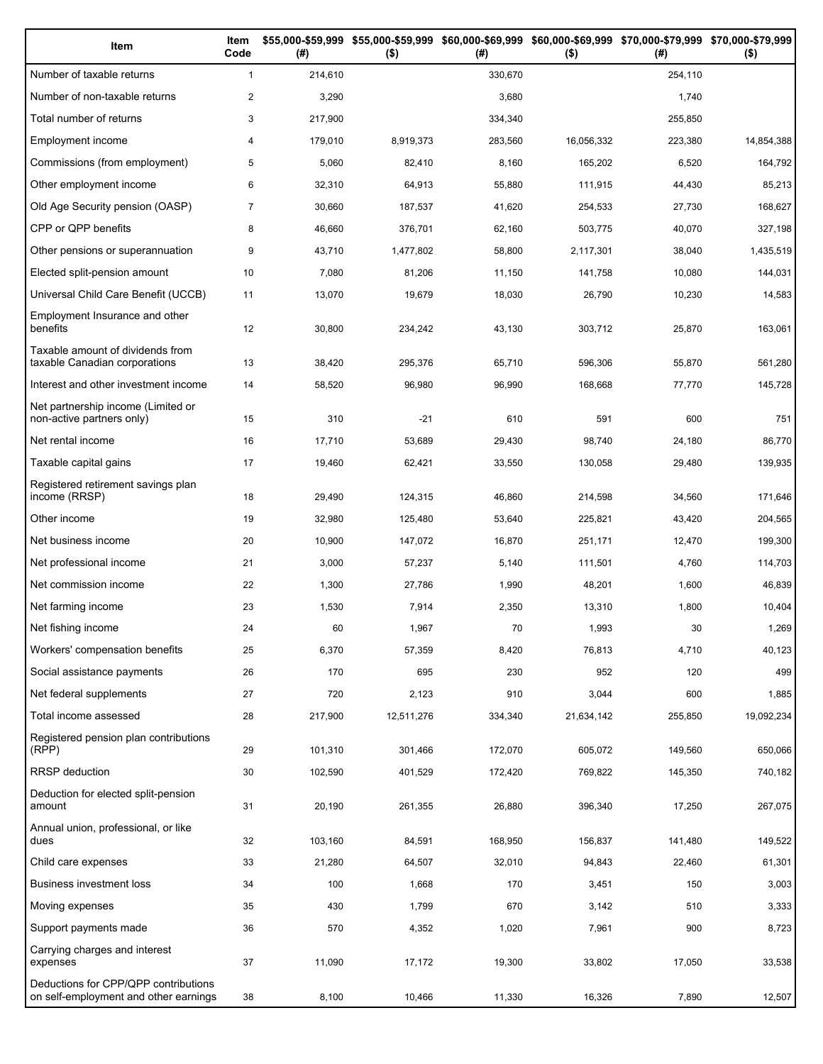| Item                                                                          | Item<br>Code   | (# )    | \$55,000-\$59,999 \$55,000-\$59,999<br>$($ \$) | (# )    | \$60,000-\$69,999 \$60,000-\$69,999 \$70,000-\$79,999 \$70,000-\$79,999<br>$($ \$) | (# )    | $($ \$)    |
|-------------------------------------------------------------------------------|----------------|---------|------------------------------------------------|---------|------------------------------------------------------------------------------------|---------|------------|
| Number of taxable returns                                                     | $\mathbf{1}$   | 214,610 |                                                | 330,670 |                                                                                    | 254,110 |            |
| Number of non-taxable returns                                                 | $\overline{2}$ | 3,290   |                                                | 3,680   |                                                                                    | 1,740   |            |
| Total number of returns                                                       | 3              | 217,900 |                                                | 334,340 |                                                                                    | 255,850 |            |
| Employment income                                                             | 4              | 179,010 | 8,919,373                                      | 283,560 | 16,056,332                                                                         | 223,380 | 14,854,388 |
| Commissions (from employment)                                                 | 5              | 5,060   | 82,410                                         | 8,160   | 165,202                                                                            | 6,520   | 164,792    |
| Other employment income                                                       | 6              | 32,310  | 64,913                                         | 55,880  | 111,915                                                                            | 44,430  | 85,213     |
| Old Age Security pension (OASP)                                               | $\overline{7}$ | 30,660  | 187,537                                        | 41,620  | 254,533                                                                            | 27,730  | 168,627    |
| CPP or QPP benefits                                                           | 8              | 46,660  | 376,701                                        | 62,160  | 503,775                                                                            | 40,070  | 327,198    |
| Other pensions or superannuation                                              | 9              | 43,710  | 1,477,802                                      | 58,800  | 2,117,301                                                                          | 38,040  | 1,435,519  |
| Elected split-pension amount                                                  | 10             | 7,080   | 81,206                                         | 11,150  | 141,758                                                                            | 10,080  | 144,031    |
| Universal Child Care Benefit (UCCB)                                           | 11             | 13,070  | 19,679                                         | 18,030  | 26,790                                                                             | 10,230  | 14,583     |
| Employment Insurance and other<br>benefits                                    | 12             | 30,800  | 234,242                                        | 43,130  | 303,712                                                                            | 25,870  | 163,061    |
| Taxable amount of dividends from<br>taxable Canadian corporations             | 13             | 38,420  | 295,376                                        | 65,710  | 596,306                                                                            | 55,870  | 561,280    |
| Interest and other investment income                                          | 14             | 58,520  | 96,980                                         | 96,990  | 168,668                                                                            | 77,770  | 145,728    |
| Net partnership income (Limited or<br>non-active partners only)               | 15             | 310     | $-21$                                          | 610     | 591                                                                                | 600     | 751        |
| Net rental income                                                             | 16             | 17,710  | 53,689                                         | 29,430  | 98,740                                                                             | 24,180  | 86,770     |
| Taxable capital gains                                                         | 17             | 19,460  | 62,421                                         | 33,550  | 130,058                                                                            | 29,480  | 139,935    |
| Registered retirement savings plan<br>income (RRSP)                           | 18             | 29,490  | 124,315                                        | 46,860  | 214,598                                                                            | 34,560  | 171,646    |
| Other income                                                                  | 19             | 32,980  | 125,480                                        | 53,640  | 225,821                                                                            | 43,420  | 204,565    |
| Net business income                                                           | 20             | 10,900  | 147,072                                        | 16,870  | 251,171                                                                            | 12,470  | 199,300    |
| Net professional income                                                       | 21             | 3,000   | 57,237                                         | 5,140   | 111,501                                                                            | 4,760   | 114,703    |
| Net commission income                                                         | 22             | 1,300   | 27,786                                         | 1,990   | 48,201                                                                             | 1,600   | 46,839     |
| Net farming income                                                            | 23             | 1,530   | 7,914                                          | 2,350   | 13,310                                                                             | 1,800   | 10,404     |
| Net fishing income                                                            | 24             | 60      | 1,967                                          | 70      | 1,993                                                                              | 30      | 1,269      |
| Workers' compensation benefits                                                | 25             | 6,370   | 57,359                                         | 8,420   | 76,813                                                                             | 4,710   | 40,123     |
| Social assistance payments                                                    | 26             | 170     | 695                                            | 230     | 952                                                                                | 120     | 499        |
| Net federal supplements                                                       | 27             | 720     | 2,123                                          | 910     | 3,044                                                                              | 600     | 1,885      |
| Total income assessed                                                         | 28             | 217,900 | 12,511,276                                     | 334,340 | 21,634,142                                                                         | 255,850 | 19,092,234 |
| Registered pension plan contributions<br>(RPP)                                | 29             | 101,310 | 301,466                                        | 172,070 | 605,072                                                                            | 149,560 | 650,066    |
| RRSP deduction                                                                | 30             | 102,590 | 401,529                                        | 172,420 | 769,822                                                                            | 145,350 | 740,182    |
| Deduction for elected split-pension<br>amount                                 | 31             | 20,190  | 261,355                                        | 26,880  | 396,340                                                                            | 17,250  | 267,075    |
| Annual union, professional, or like<br>dues                                   | 32             | 103,160 | 84,591                                         | 168,950 | 156,837                                                                            | 141,480 | 149,522    |
| Child care expenses                                                           | 33             | 21,280  | 64,507                                         | 32,010  | 94,843                                                                             | 22,460  | 61,301     |
| Business investment loss                                                      | 34             | 100     | 1,668                                          | 170     | 3,451                                                                              | 150     | 3,003      |
| Moving expenses                                                               | 35             | 430     | 1,799                                          | 670     | 3,142                                                                              | 510     | 3,333      |
| Support payments made                                                         | 36             | 570     | 4,352                                          | 1,020   | 7,961                                                                              | 900     | 8,723      |
| Carrying charges and interest<br>expenses                                     | 37             | 11,090  | 17,172                                         | 19,300  | 33,802                                                                             | 17,050  | 33,538     |
| Deductions for CPP/QPP contributions<br>on self-employment and other earnings | 38             | 8,100   | 10,466                                         | 11,330  | 16,326                                                                             | 7,890   | 12,507     |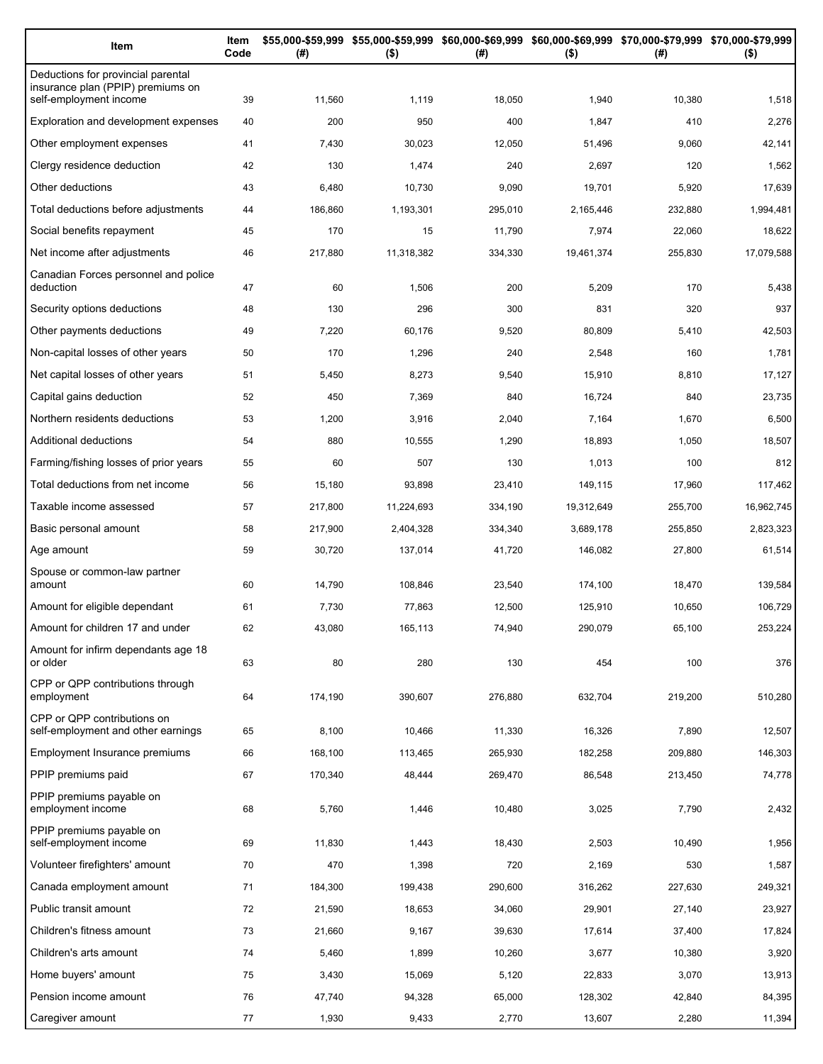| Item                                                                                              | Item<br>Code | (#)     | $($ \$)    | \$55,000-\$59,999 \$55,000-\$59,999 \$60,000-\$69,999 \$60,000-\$69,999 \$70,000-\$79,999 \$70,000-\$79,999<br>(#) | $($ \$)    | (# )    | $($ \$)    |
|---------------------------------------------------------------------------------------------------|--------------|---------|------------|--------------------------------------------------------------------------------------------------------------------|------------|---------|------------|
| Deductions for provincial parental<br>insurance plan (PPIP) premiums on<br>self-employment income | 39           | 11,560  | 1,119      | 18,050                                                                                                             | 1,940      | 10,380  | 1,518      |
| Exploration and development expenses                                                              | 40           | 200     | 950        | 400                                                                                                                | 1,847      | 410     | 2,276      |
| Other employment expenses                                                                         | 41           | 7,430   | 30,023     | 12,050                                                                                                             | 51,496     | 9,060   | 42,141     |
| Clergy residence deduction                                                                        | 42           | 130     | 1,474      | 240                                                                                                                | 2,697      | 120     | 1,562      |
| Other deductions                                                                                  | 43           | 6,480   | 10,730     | 9,090                                                                                                              | 19,701     | 5,920   | 17,639     |
| Total deductions before adjustments                                                               | 44           | 186,860 | 1,193,301  | 295,010                                                                                                            | 2,165,446  | 232,880 | 1,994,481  |
| Social benefits repayment                                                                         | 45           | 170     | 15         | 11,790                                                                                                             | 7,974      | 22,060  | 18,622     |
| Net income after adjustments                                                                      | 46           | 217,880 | 11,318,382 | 334,330                                                                                                            | 19,461,374 | 255,830 | 17,079,588 |
| Canadian Forces personnel and police<br>deduction                                                 | 47           | 60      | 1,506      | 200                                                                                                                | 5,209      | 170     | 5,438      |
| Security options deductions                                                                       | 48           | 130     | 296        | 300                                                                                                                | 831        | 320     | 937        |
| Other payments deductions                                                                         | 49           | 7,220   | 60,176     | 9,520                                                                                                              | 80,809     | 5,410   | 42,503     |
| Non-capital losses of other years                                                                 | 50           | 170     | 1,296      | 240                                                                                                                | 2,548      | 160     | 1,781      |
| Net capital losses of other years                                                                 | 51           | 5,450   | 8,273      | 9,540                                                                                                              | 15,910     | 8,810   | 17,127     |
| Capital gains deduction                                                                           | 52           | 450     | 7,369      | 840                                                                                                                | 16,724     | 840     | 23,735     |
| Northern residents deductions                                                                     | 53           | 1,200   | 3,916      | 2,040                                                                                                              | 7,164      | 1,670   | 6,500      |
| Additional deductions                                                                             | 54           | 880     | 10,555     | 1,290                                                                                                              | 18,893     | 1,050   | 18,507     |
| Farming/fishing losses of prior years                                                             | 55           | 60      | 507        | 130                                                                                                                | 1,013      | 100     | 812        |
| Total deductions from net income                                                                  | 56           | 15,180  | 93,898     | 23,410                                                                                                             | 149,115    | 17,960  | 117,462    |
| Taxable income assessed                                                                           | 57           | 217,800 | 11,224,693 | 334,190                                                                                                            | 19,312,649 | 255,700 | 16,962,745 |
| Basic personal amount                                                                             | 58           | 217,900 | 2,404,328  | 334,340                                                                                                            | 3,689,178  | 255,850 | 2,823,323  |
| Age amount                                                                                        | 59           | 30,720  | 137,014    | 41,720                                                                                                             | 146,082    | 27,800  | 61,514     |
| Spouse or common-law partner<br>amount                                                            | 60           | 14,790  | 108,846    | 23,540                                                                                                             | 174,100    | 18,470  | 139,584    |
| Amount for eligible dependant                                                                     | 61           | 7,730   | 77,863     | 12,500                                                                                                             | 125,910    | 10,650  | 106,729    |
| Amount for children 17 and under                                                                  | 62           | 43,080  | 165,113    | 74,940                                                                                                             | 290,079    | 65,100  | 253,224    |
| Amount for infirm dependants age 18                                                               |              |         |            |                                                                                                                    |            |         |            |
| or older                                                                                          | 63           | 80      | 280        | 130                                                                                                                | 454        | 100     | 376        |
| CPP or QPP contributions through<br>employment                                                    | 64           | 174,190 | 390,607    | 276,880                                                                                                            | 632,704    | 219,200 | 510,280    |
| CPP or QPP contributions on<br>self-employment and other earnings                                 | 65           | 8,100   | 10,466     | 11,330                                                                                                             | 16,326     | 7,890   | 12,507     |
| Employment Insurance premiums                                                                     | 66           | 168,100 | 113,465    | 265,930                                                                                                            | 182,258    | 209,880 | 146,303    |
| PPIP premiums paid                                                                                | 67           | 170,340 | 48,444     | 269,470                                                                                                            | 86,548     | 213,450 | 74,778     |
| PPIP premiums payable on<br>employment income                                                     | 68           | 5,760   | 1,446      | 10,480                                                                                                             | 3,025      | 7,790   | 2,432      |
| PPIP premiums payable on<br>self-employment income                                                | 69           | 11,830  | 1,443      | 18,430                                                                                                             | 2,503      | 10,490  | 1,956      |
| Volunteer firefighters' amount                                                                    | 70           | 470     | 1,398      | 720                                                                                                                | 2,169      | 530     | 1,587      |
| Canada employment amount                                                                          | 71           | 184,300 | 199,438    | 290,600                                                                                                            | 316,262    | 227,630 | 249,321    |
| Public transit amount                                                                             | 72           | 21,590  | 18,653     | 34,060                                                                                                             | 29,901     | 27,140  | 23,927     |
| Children's fitness amount                                                                         | 73           | 21,660  | 9,167      | 39,630                                                                                                             | 17,614     | 37,400  | 17,824     |
| Children's arts amount                                                                            | 74           | 5,460   | 1,899      | 10,260                                                                                                             | 3,677      | 10,380  | 3,920      |
| Home buyers' amount                                                                               | 75           | 3,430   | 15,069     | 5,120                                                                                                              | 22,833     | 3,070   | 13,913     |
| Pension income amount                                                                             | 76           | 47,740  | 94,328     | 65,000                                                                                                             | 128,302    | 42,840  | 84,395     |
| Caregiver amount                                                                                  | 77           | 1,930   | 9,433      | 2,770                                                                                                              | 13,607     | 2,280   | 11,394     |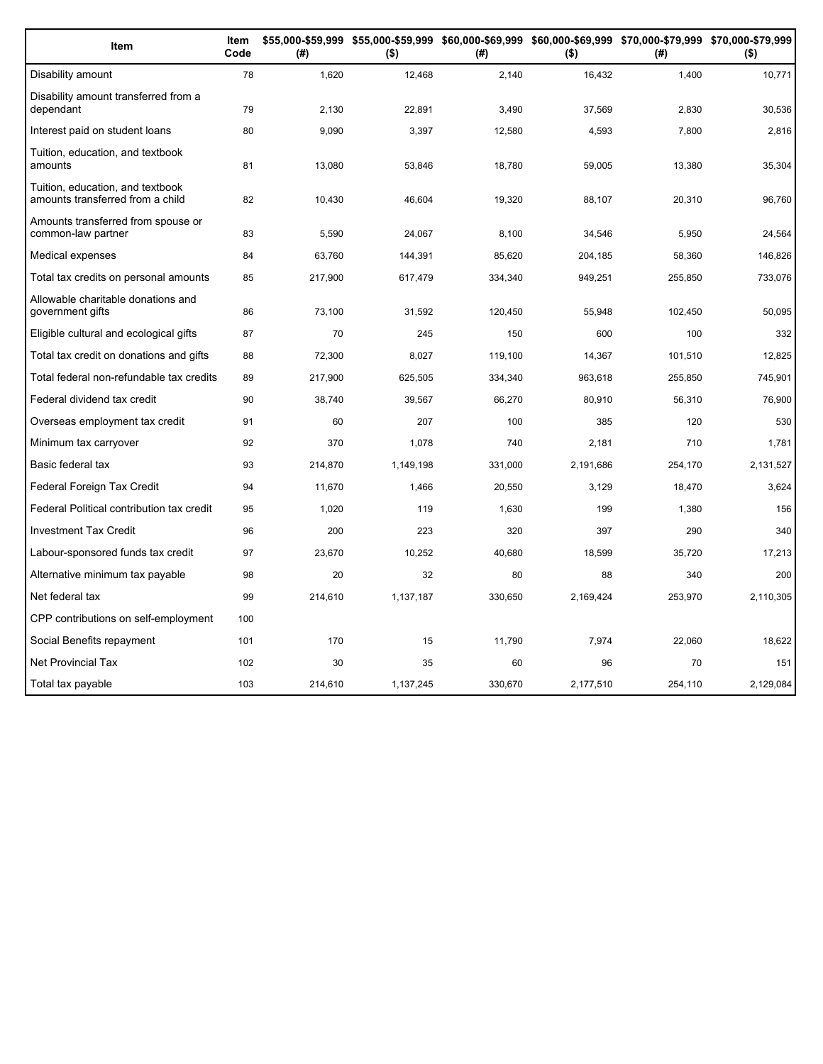| Item                                                                 | Item<br>Code | (#)     | $($ \$)   | (#)     | $($ \$)   | \$55,000-\$59,999 \$55,000-\$59,999 \$60,000-\$69,999 \$60,000-\$69,999 \$70,000-\$79,999 \$70,000-\$79,999<br>(#) | $($ \$)   |
|----------------------------------------------------------------------|--------------|---------|-----------|---------|-----------|--------------------------------------------------------------------------------------------------------------------|-----------|
| Disability amount                                                    | 78           | 1,620   | 12,468    | 2,140   | 16,432    | 1,400                                                                                                              | 10,771    |
| Disability amount transferred from a<br>dependant                    | 79           | 2,130   | 22,891    | 3,490   | 37,569    | 2,830                                                                                                              | 30,536    |
| Interest paid on student loans                                       | 80           | 9,090   | 3,397     | 12,580  | 4,593     | 7,800                                                                                                              | 2,816     |
| Tuition, education, and textbook<br>amounts                          | 81           | 13,080  | 53,846    | 18,780  | 59,005    | 13,380                                                                                                             | 35,304    |
| Tuition, education, and textbook<br>amounts transferred from a child | 82           | 10,430  | 46,604    | 19,320  | 88,107    | 20,310                                                                                                             | 96,760    |
| Amounts transferred from spouse or<br>common-law partner             | 83           | 5,590   | 24,067    | 8,100   | 34,546    | 5,950                                                                                                              | 24,564    |
| Medical expenses                                                     | 84           | 63,760  | 144,391   | 85,620  | 204,185   | 58,360                                                                                                             | 146,826   |
| Total tax credits on personal amounts                                | 85           | 217,900 | 617,479   | 334,340 | 949,251   | 255,850                                                                                                            | 733,076   |
| Allowable charitable donations and<br>government gifts               | 86           | 73,100  | 31,592    | 120,450 | 55,948    | 102,450                                                                                                            | 50,095    |
| Eligible cultural and ecological gifts                               | 87           | 70      | 245       | 150     | 600       | 100                                                                                                                | 332       |
| Total tax credit on donations and gifts                              | 88           | 72,300  | 8,027     | 119,100 | 14,367    | 101,510                                                                                                            | 12,825    |
| Total federal non-refundable tax credits                             | 89           | 217,900 | 625,505   | 334,340 | 963,618   | 255,850                                                                                                            | 745,901   |
| Federal dividend tax credit                                          | 90           | 38,740  | 39,567    | 66,270  | 80,910    | 56,310                                                                                                             | 76,900    |
| Overseas employment tax credit                                       | 91           | 60      | 207       | 100     | 385       | 120                                                                                                                | 530       |
| Minimum tax carryover                                                | 92           | 370     | 1,078     | 740     | 2,181     | 710                                                                                                                | 1,781     |
| Basic federal tax                                                    | 93           | 214,870 | 1,149,198 | 331,000 | 2,191,686 | 254,170                                                                                                            | 2,131,527 |
| Federal Foreign Tax Credit                                           | 94           | 11,670  | 1,466     | 20,550  | 3,129     | 18,470                                                                                                             | 3,624     |
| Federal Political contribution tax credit                            | 95           | 1,020   | 119       | 1,630   | 199       | 1,380                                                                                                              | 156       |
| <b>Investment Tax Credit</b>                                         | 96           | 200     | 223       | 320     | 397       | 290                                                                                                                | 340       |
| Labour-sponsored funds tax credit                                    | 97           | 23,670  | 10,252    | 40,680  | 18,599    | 35,720                                                                                                             | 17,213    |
| Alternative minimum tax payable                                      | 98           | 20      | 32        | 80      | 88        | 340                                                                                                                | 200       |
| Net federal tax                                                      | 99           | 214,610 | 1,137,187 | 330,650 | 2,169,424 | 253,970                                                                                                            | 2,110,305 |
| CPP contributions on self-employment                                 | 100          |         |           |         |           |                                                                                                                    |           |
| Social Benefits repayment                                            | 101          | 170     | 15        | 11,790  | 7,974     | 22,060                                                                                                             | 18,622    |
| <b>Net Provincial Tax</b>                                            | 102          | 30      | 35        | 60      | 96        | 70                                                                                                                 | 151       |
| Total tax payable                                                    | 103          | 214,610 | 1,137,245 | 330,670 | 2,177,510 | 254,110                                                                                                            | 2,129,084 |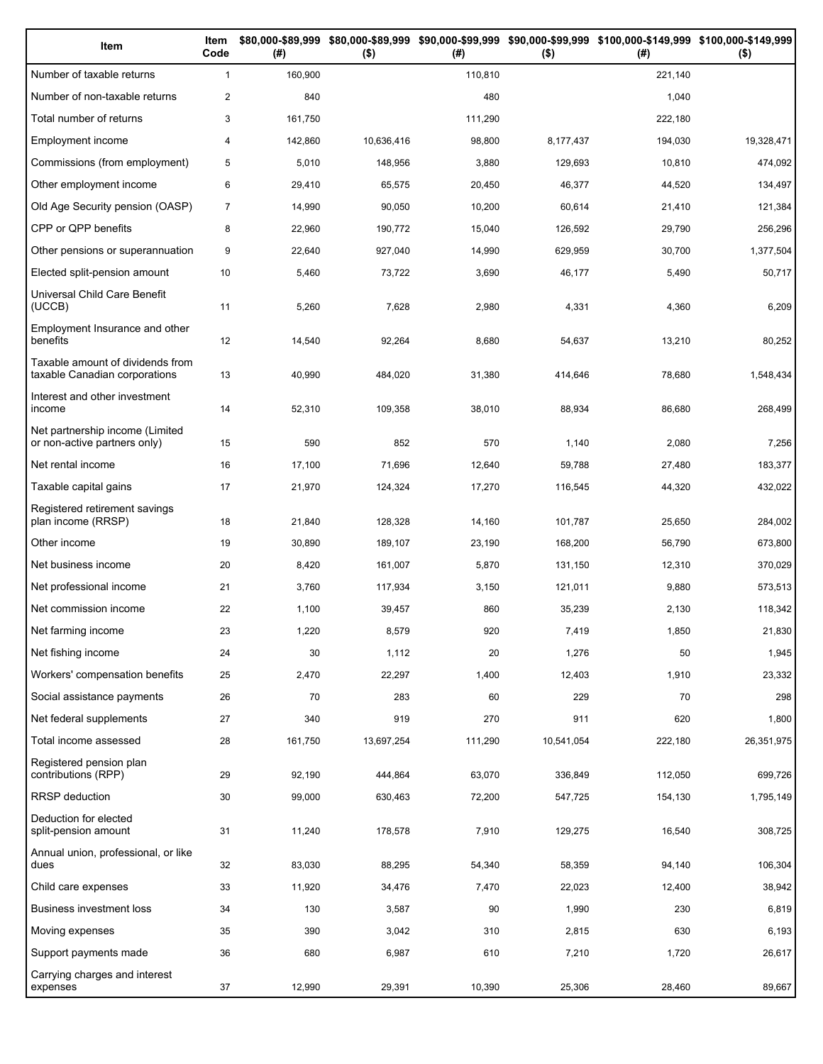| Item                                                              | Item<br>Code   | (# )    | $($ \$)    | (#)     | $($ \$)    | \$80,000-\$89,999 \$80,000-\$89,999 \$90,000-\$99,999 \$90,000-\$99,999 \$100,000-\$149,999 \$100,000-\$149,999<br>(# ) | $($ \$)    |
|-------------------------------------------------------------------|----------------|---------|------------|---------|------------|-------------------------------------------------------------------------------------------------------------------------|------------|
| Number of taxable returns                                         | $\mathbf{1}$   | 160,900 |            | 110,810 |            | 221,140                                                                                                                 |            |
| Number of non-taxable returns                                     | $\mathbf{2}$   | 840     |            | 480     |            | 1,040                                                                                                                   |            |
| Total number of returns                                           | 3              | 161,750 |            | 111,290 |            | 222,180                                                                                                                 |            |
| Employment income                                                 | $\overline{4}$ | 142,860 | 10,636,416 | 98,800  | 8,177,437  | 194,030                                                                                                                 | 19,328,471 |
| Commissions (from employment)                                     | 5              | 5,010   | 148,956    | 3,880   | 129,693    | 10,810                                                                                                                  | 474,092    |
| Other employment income                                           | 6              | 29,410  | 65,575     | 20,450  | 46,377     | 44,520                                                                                                                  | 134,497    |
| Old Age Security pension (OASP)                                   | $\overline{7}$ | 14,990  | 90,050     | 10,200  | 60,614     | 21,410                                                                                                                  | 121,384    |
| CPP or QPP benefits                                               | 8              | 22,960  | 190,772    | 15,040  | 126,592    | 29,790                                                                                                                  | 256,296    |
| Other pensions or superannuation                                  | 9              | 22,640  | 927,040    | 14,990  | 629,959    | 30,700                                                                                                                  | 1,377,504  |
| Elected split-pension amount                                      | 10             | 5,460   | 73,722     | 3,690   | 46,177     | 5,490                                                                                                                   | 50,717     |
| Universal Child Care Benefit<br>(UCCB)                            | 11             | 5,260   | 7,628      | 2,980   | 4,331      | 4,360                                                                                                                   | 6,209      |
| Employment Insurance and other<br>benefits                        | 12             | 14,540  | 92,264     | 8,680   | 54,637     | 13,210                                                                                                                  | 80,252     |
| Taxable amount of dividends from<br>taxable Canadian corporations | 13             | 40,990  | 484,020    | 31,380  | 414,646    | 78,680                                                                                                                  | 1,548,434  |
| Interest and other investment<br>income                           | 14             | 52,310  | 109,358    | 38,010  | 88,934     | 86,680                                                                                                                  | 268,499    |
| Net partnership income (Limited<br>or non-active partners only)   | 15             | 590     | 852        | 570     | 1,140      | 2,080                                                                                                                   | 7,256      |
| Net rental income                                                 | 16             | 17,100  | 71,696     | 12,640  | 59,788     | 27,480                                                                                                                  | 183,377    |
| Taxable capital gains                                             | 17             | 21,970  | 124,324    | 17,270  | 116,545    | 44,320                                                                                                                  | 432,022    |
| Registered retirement savings<br>plan income (RRSP)               | 18             | 21,840  | 128,328    | 14,160  | 101,787    | 25,650                                                                                                                  | 284,002    |
| Other income                                                      | 19             | 30,890  | 189,107    | 23,190  | 168,200    | 56,790                                                                                                                  | 673,800    |
| Net business income                                               | 20             | 8,420   | 161,007    | 5,870   | 131,150    | 12,310                                                                                                                  | 370,029    |
| Net professional income                                           | 21             | 3,760   | 117,934    | 3,150   | 121,011    | 9,880                                                                                                                   | 573,513    |
| Net commission income                                             | 22             | 1,100   | 39,457     | 860     | 35,239     | 2,130                                                                                                                   | 118,342    |
| Net farming income                                                | 23             | 1,220   | 8,579      | 920     | 7,419      | 1,850                                                                                                                   | 21,830     |
| Net fishing income                                                | 24             | 30      | 1,112      | 20      | 1,276      | 50                                                                                                                      | 1,945      |
| Workers' compensation benefits                                    | 25             | 2,470   | 22,297     | 1,400   | 12,403     | 1,910                                                                                                                   | 23,332     |
| Social assistance payments                                        | 26             | 70      | 283        | 60      | 229        | 70                                                                                                                      | 298        |
| Net federal supplements                                           | 27             | 340     | 919        | 270     | 911        | 620                                                                                                                     | 1,800      |
| Total income assessed                                             | 28             | 161,750 | 13,697,254 | 111,290 | 10,541,054 | 222,180                                                                                                                 | 26,351,975 |
| Registered pension plan<br>contributions (RPP)                    | 29             | 92,190  | 444,864    | 63,070  | 336,849    | 112,050                                                                                                                 | 699,726    |
| <b>RRSP</b> deduction                                             | 30             | 99,000  | 630,463    | 72,200  | 547,725    | 154,130                                                                                                                 | 1,795,149  |
| Deduction for elected<br>split-pension amount                     | 31             | 11,240  | 178,578    | 7,910   | 129,275    | 16,540                                                                                                                  | 308,725    |
| Annual union, professional, or like<br>dues                       | 32             | 83,030  | 88,295     | 54,340  | 58,359     | 94,140                                                                                                                  | 106,304    |
| Child care expenses                                               | 33             | 11,920  | 34,476     | 7,470   | 22,023     | 12,400                                                                                                                  | 38,942     |
| Business investment loss                                          | 34             | 130     | 3,587      | 90      | 1,990      | 230                                                                                                                     | 6,819      |
| Moving expenses                                                   | 35             | 390     | 3,042      | 310     | 2,815      | 630                                                                                                                     | 6,193      |
| Support payments made                                             | 36             | 680     | 6,987      | 610     | 7,210      | 1,720                                                                                                                   | 26,617     |
| Carrying charges and interest<br>expenses                         | 37             | 12,990  | 29,391     | 10,390  | 25,306     | 28,460                                                                                                                  | 89,667     |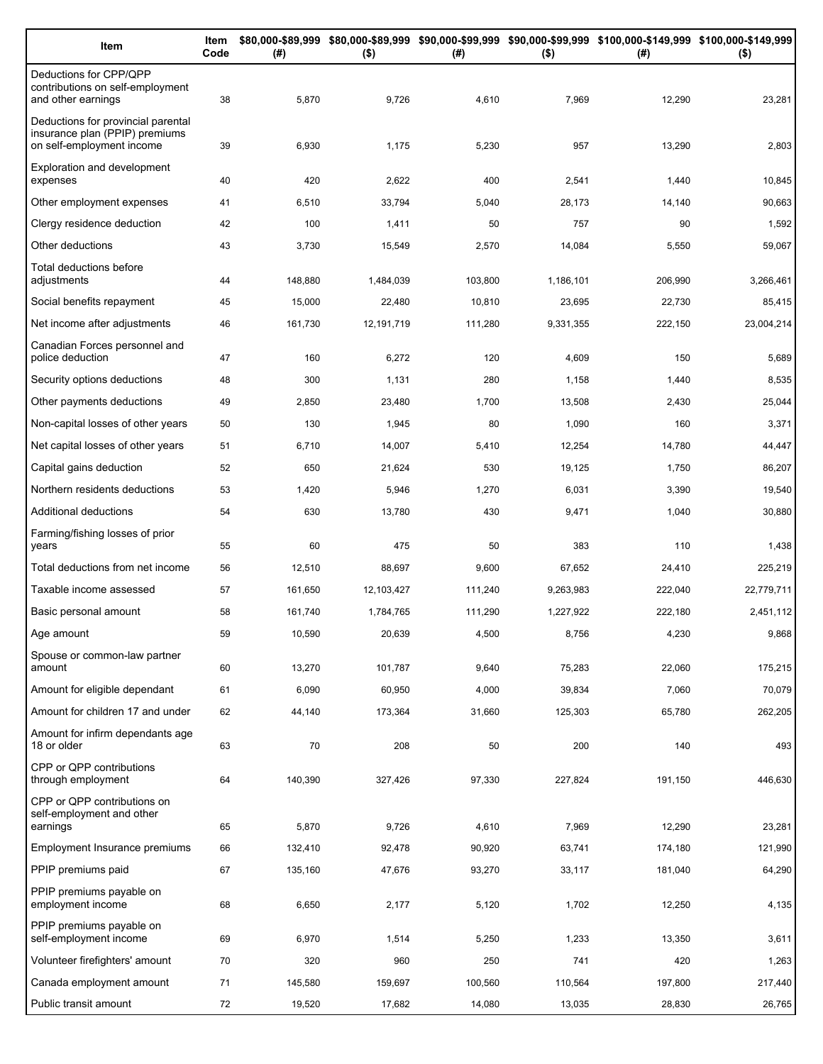| Item                                                                                              | Item<br>Code | (# )    | $($ \$)    | (#)     | $($ \$)   | \$80,000-\$89,999 \$80,000-\$89,999 \$90,000-\$99,999 \$90,000-\$99,999 \$100,000-\$149,999 \$100,000-\$149,999<br>(#) | $($ \$)    |
|---------------------------------------------------------------------------------------------------|--------------|---------|------------|---------|-----------|------------------------------------------------------------------------------------------------------------------------|------------|
| Deductions for CPP/QPP<br>contributions on self-employment<br>and other earnings                  | 38           | 5,870   | 9,726      | 4,610   | 7,969     | 12,290                                                                                                                 | 23,281     |
| Deductions for provincial parental<br>insurance plan (PPIP) premiums<br>on self-employment income | 39           | 6,930   | 1,175      | 5,230   | 957       | 13,290                                                                                                                 | 2,803      |
| <b>Exploration and development</b><br>expenses                                                    | 40           | 420     | 2,622      | 400     | 2,541     | 1,440                                                                                                                  | 10,845     |
| Other employment expenses                                                                         | 41           | 6,510   | 33,794     | 5,040   | 28,173    | 14,140                                                                                                                 | 90,663     |
| Clergy residence deduction                                                                        | 42           | 100     | 1,411      | 50      | 757       | 90                                                                                                                     | 1,592      |
| Other deductions                                                                                  | 43           | 3,730   | 15,549     | 2,570   | 14,084    | 5,550                                                                                                                  | 59,067     |
| Total deductions before<br>adjustments                                                            | 44           | 148,880 | 1,484,039  | 103,800 | 1,186,101 | 206,990                                                                                                                | 3,266,461  |
| Social benefits repayment                                                                         | 45           | 15,000  | 22,480     | 10,810  | 23,695    | 22,730                                                                                                                 | 85,415     |
| Net income after adjustments                                                                      | 46           | 161,730 | 12,191,719 | 111,280 | 9,331,355 | 222,150                                                                                                                | 23,004,214 |
| Canadian Forces personnel and<br>police deduction                                                 | 47           | 160     | 6,272      | 120     | 4,609     | 150                                                                                                                    | 5,689      |
| Security options deductions                                                                       | 48           | 300     | 1,131      | 280     | 1,158     | 1,440                                                                                                                  | 8,535      |
| Other payments deductions                                                                         | 49           | 2,850   | 23,480     | 1,700   | 13,508    | 2,430                                                                                                                  | 25,044     |
| Non-capital losses of other years                                                                 | 50           | 130     | 1,945      | 80      | 1,090     | 160                                                                                                                    | 3,371      |
| Net capital losses of other years                                                                 | 51           | 6,710   | 14,007     | 5,410   | 12,254    | 14,780                                                                                                                 | 44,447     |
| Capital gains deduction                                                                           | 52           | 650     | 21,624     | 530     | 19,125    | 1,750                                                                                                                  | 86,207     |
| Northern residents deductions                                                                     | 53           | 1,420   | 5,946      | 1,270   | 6,031     | 3,390                                                                                                                  | 19,540     |
| Additional deductions                                                                             | 54           | 630     | 13,780     | 430     | 9,471     | 1,040                                                                                                                  | 30,880     |
| Farming/fishing losses of prior<br>years                                                          | 55           | 60      | 475        | 50      | 383       | 110                                                                                                                    | 1,438      |
| Total deductions from net income                                                                  | 56           | 12,510  | 88,697     | 9,600   | 67,652    | 24,410                                                                                                                 | 225,219    |
| Taxable income assessed                                                                           | 57           | 161,650 | 12,103,427 | 111,240 | 9,263,983 | 222,040                                                                                                                | 22,779,711 |
| Basic personal amount                                                                             | 58           | 161,740 | 1,784,765  | 111,290 | 1,227,922 | 222,180                                                                                                                | 2,451,112  |
| Age amount                                                                                        | 59           | 10,590  | 20,639     | 4,500   | 8,756     | 4,230                                                                                                                  | 9,868      |
| Spouse or common-law partner<br>amount                                                            | 60           | 13,270  | 101,787    | 9,640   | 75,283    | 22,060                                                                                                                 | 175,215    |
| Amount for eligible dependant                                                                     | 61           | 6,090   | 60,950     | 4,000   | 39,834    | 7,060                                                                                                                  | 70,079     |
| Amount for children 17 and under                                                                  | 62           | 44,140  | 173,364    | 31,660  | 125,303   | 65,780                                                                                                                 | 262,205    |
| Amount for infirm dependants age<br>18 or older                                                   | 63           | 70      | 208        | 50      | 200       | 140                                                                                                                    | 493        |
| CPP or QPP contributions<br>through employment                                                    | 64           | 140,390 | 327,426    | 97,330  | 227,824   | 191,150                                                                                                                | 446,630    |
| CPP or QPP contributions on<br>self-employment and other                                          |              |         |            |         |           |                                                                                                                        |            |
| earnings                                                                                          | 65           | 5,870   | 9,726      | 4,610   | 7,969     | 12,290                                                                                                                 | 23,281     |
| Employment Insurance premiums                                                                     | 66           | 132,410 | 92,478     | 90,920  | 63,741    | 174,180                                                                                                                | 121,990    |
| PPIP premiums paid                                                                                | 67           | 135,160 | 47,676     | 93,270  | 33,117    | 181,040                                                                                                                | 64,290     |
| PPIP premiums payable on<br>employment income                                                     | 68           | 6,650   | 2,177      | 5,120   | 1,702     | 12,250                                                                                                                 | 4,135      |
| PPIP premiums payable on<br>self-employment income                                                | 69           | 6,970   | 1,514      | 5,250   | 1,233     | 13,350                                                                                                                 | 3,611      |
| Volunteer firefighters' amount                                                                    | 70           | 320     | 960        | 250     | 741       | 420                                                                                                                    | 1,263      |
| Canada employment amount                                                                          | 71           | 145,580 | 159,697    | 100,560 | 110,564   | 197,800                                                                                                                | 217,440    |
| Public transit amount                                                                             | 72           | 19,520  | 17,682     | 14,080  | 13,035    | 28,830                                                                                                                 | 26,765     |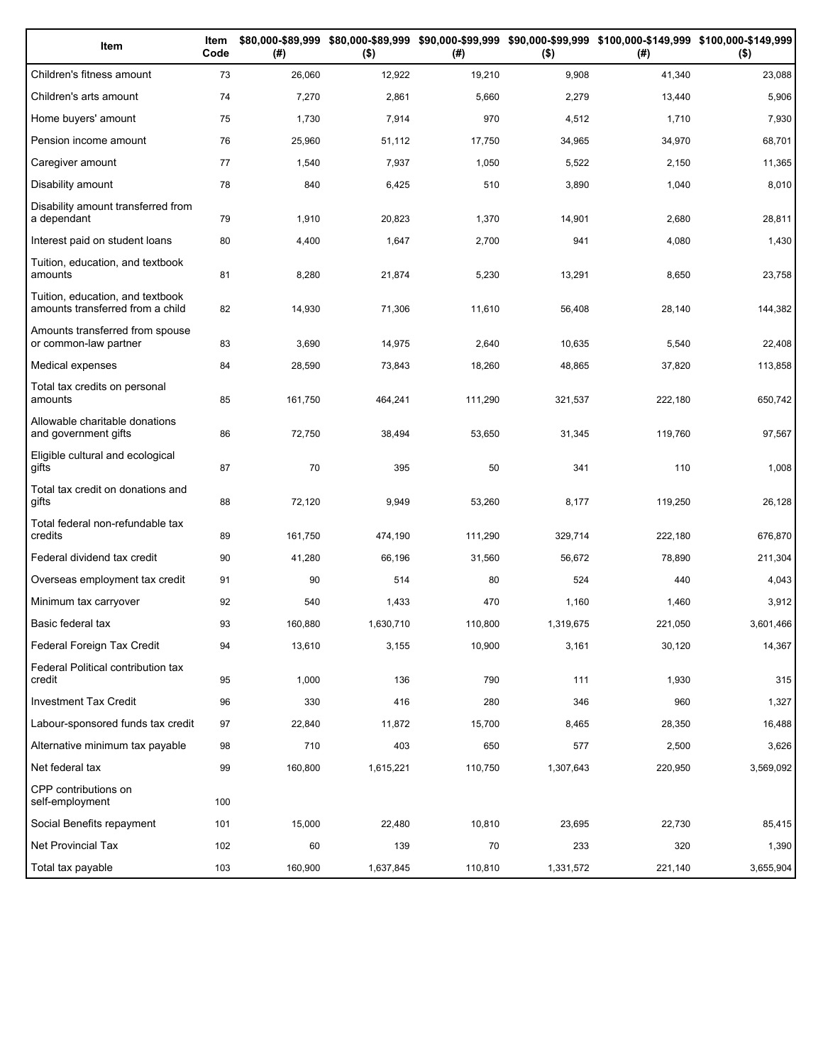| Item                                                                 | Item<br>Code | (# )    | $($ \$)   | (#)     | $($ \$)   | \$80,000-\$89,999 \$80,000-\$89,999 \$90,000-\$99,999 \$90,000-\$99,999 \$100,000-\$149,999 \$100,000-\$149,999<br>(#) | $($ \$)   |
|----------------------------------------------------------------------|--------------|---------|-----------|---------|-----------|------------------------------------------------------------------------------------------------------------------------|-----------|
| Children's fitness amount                                            | 73           | 26,060  | 12,922    | 19,210  | 9,908     | 41,340                                                                                                                 | 23,088    |
| Children's arts amount                                               | 74           | 7,270   | 2,861     | 5,660   | 2,279     | 13,440                                                                                                                 | 5,906     |
| Home buyers' amount                                                  | 75           | 1,730   | 7,914     | 970     | 4,512     | 1,710                                                                                                                  | 7,930     |
| Pension income amount                                                | 76           | 25,960  | 51,112    | 17,750  | 34,965    | 34,970                                                                                                                 | 68,701    |
| Caregiver amount                                                     | 77           | 1,540   | 7,937     | 1,050   | 5,522     | 2,150                                                                                                                  | 11,365    |
| Disability amount                                                    | 78           | 840     | 6,425     | 510     | 3,890     | 1,040                                                                                                                  | 8,010     |
| Disability amount transferred from<br>a dependant                    | 79           | 1,910   | 20,823    | 1,370   | 14,901    | 2,680                                                                                                                  | 28,811    |
| Interest paid on student loans                                       | 80           | 4,400   | 1,647     | 2,700   | 941       | 4,080                                                                                                                  | 1,430     |
| Tuition, education, and textbook<br>amounts                          | 81           | 8,280   | 21,874    | 5,230   | 13,291    | 8,650                                                                                                                  | 23,758    |
| Tuition, education, and textbook<br>amounts transferred from a child | 82           | 14,930  | 71,306    | 11,610  | 56,408    | 28,140                                                                                                                 | 144,382   |
| Amounts transferred from spouse<br>or common-law partner             | 83           | 3,690   | 14,975    | 2,640   | 10,635    | 5,540                                                                                                                  | 22,408    |
| Medical expenses                                                     | 84           | 28,590  | 73,843    | 18,260  | 48,865    | 37,820                                                                                                                 | 113,858   |
| Total tax credits on personal<br>amounts                             | 85           | 161,750 | 464,241   | 111,290 | 321,537   | 222,180                                                                                                                | 650,742   |
| Allowable charitable donations<br>and government gifts               | 86           | 72,750  | 38,494    | 53,650  | 31,345    | 119,760                                                                                                                | 97,567    |
| Eligible cultural and ecological<br>gifts                            | 87           | 70      | 395       | 50      | 341       | 110                                                                                                                    | 1,008     |
| Total tax credit on donations and<br>gifts                           | 88           | 72,120  | 9,949     | 53,260  | 8,177     | 119,250                                                                                                                | 26,128    |
| Total federal non-refundable tax<br>credits                          | 89           | 161,750 | 474,190   | 111,290 | 329,714   | 222,180                                                                                                                | 676,870   |
| Federal dividend tax credit                                          | 90           | 41,280  | 66,196    | 31,560  | 56,672    | 78,890                                                                                                                 | 211,304   |
| Overseas employment tax credit                                       | 91           | 90      | 514       | 80      | 524       | 440                                                                                                                    | 4,043     |
| Minimum tax carryover                                                | 92           | 540     | 1,433     | 470     | 1,160     | 1,460                                                                                                                  | 3,912     |
| Basic federal tax                                                    | 93           | 160,880 | 1,630,710 | 110,800 | 1,319,675 | 221,050                                                                                                                | 3,601,466 |
| Federal Foreign Tax Credit                                           | 94           | 13,610  | 3,155     | 10,900  | 3,161     | 30,120                                                                                                                 | 14,367    |
| Federal Political contribution tax<br>credit                         | 95           | 1,000   | 136       | 790     | 111       | 1,930                                                                                                                  | 315       |
| Investment Tax Credit                                                | 96           | 330     | 416       | 280     | 346       | 960                                                                                                                    | 1,327     |
| Labour-sponsored funds tax credit                                    | 97           | 22,840  | 11,872    | 15,700  | 8,465     | 28,350                                                                                                                 | 16,488    |
| Alternative minimum tax payable                                      | 98           | 710     | 403       | 650     | 577       | 2,500                                                                                                                  | 3,626     |
| Net federal tax                                                      | 99           | 160,800 | 1,615,221 | 110,750 | 1,307,643 | 220,950                                                                                                                | 3,569,092 |
| CPP contributions on<br>self-employment                              | 100          |         |           |         |           |                                                                                                                        |           |
| Social Benefits repayment                                            | 101          | 15,000  | 22,480    | 10,810  | 23,695    | 22,730                                                                                                                 | 85,415    |
| Net Provincial Tax                                                   | 102          | 60      | 139       | 70      | 233       | 320                                                                                                                    | 1,390     |
| Total tax payable                                                    | 103          | 160,900 | 1,637,845 | 110,810 | 1,331,572 | 221,140                                                                                                                | 3,655,904 |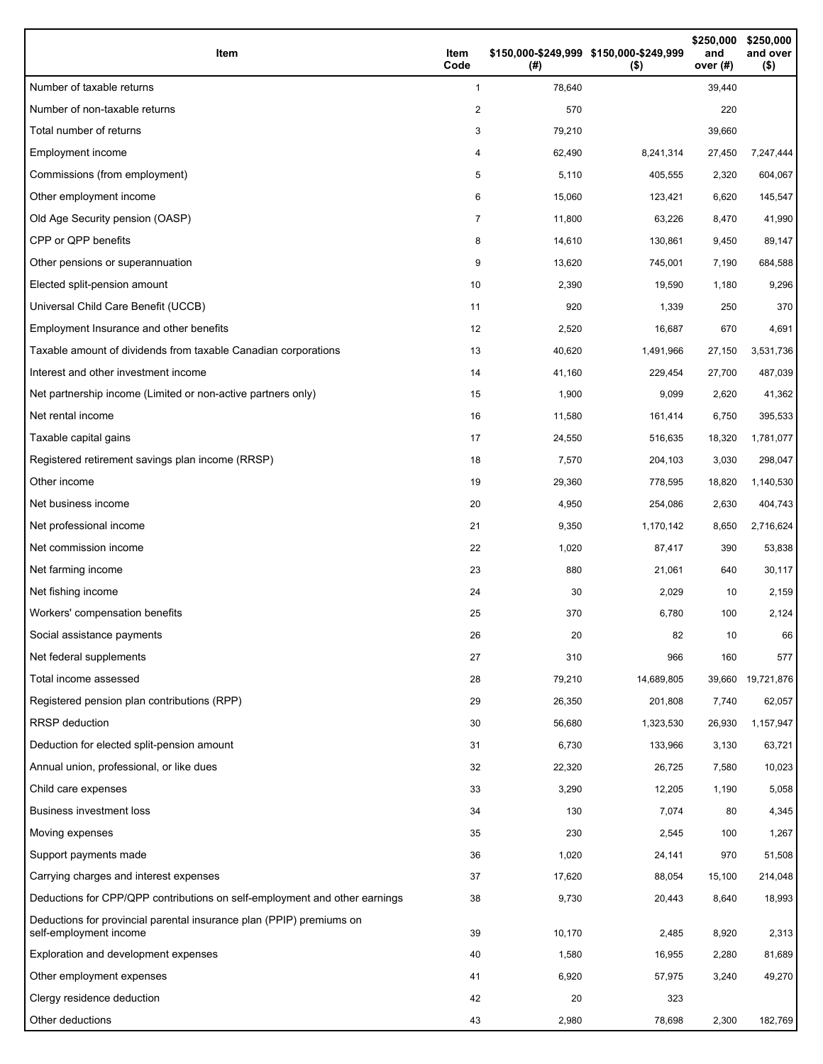| Item                                                                                           | Item<br>Code   | \$150,000-\$249,999 \$150,000-\$249,999<br>(#) | $($ \$)    | \$250,000<br>and<br>over (#) | \$250,000<br>and over<br>$($ \$) |
|------------------------------------------------------------------------------------------------|----------------|------------------------------------------------|------------|------------------------------|----------------------------------|
| Number of taxable returns                                                                      | 1              | 78,640                                         |            | 39,440                       |                                  |
| Number of non-taxable returns                                                                  | 2              | 570                                            |            | 220                          |                                  |
| Total number of returns                                                                        | 3              | 79,210                                         |            | 39,660                       |                                  |
| Employment income                                                                              | 4              | 62,490                                         | 8,241,314  | 27,450                       | 7,247,444                        |
| Commissions (from employment)                                                                  | 5              | 5,110                                          | 405,555    | 2,320                        | 604,067                          |
| Other employment income                                                                        | 6              | 15,060                                         | 123,421    | 6,620                        | 145,547                          |
| Old Age Security pension (OASP)                                                                | $\overline{7}$ | 11,800                                         | 63,226     | 8,470                        | 41,990                           |
| CPP or QPP benefits                                                                            | 8              | 14,610                                         | 130,861    | 9,450                        | 89,147                           |
| Other pensions or superannuation                                                               | 9              | 13,620                                         | 745,001    | 7,190                        | 684,588                          |
| Elected split-pension amount                                                                   | 10             | 2,390                                          | 19,590     | 1,180                        | 9,296                            |
| Universal Child Care Benefit (UCCB)                                                            | 11             | 920                                            | 1,339      | 250                          | 370                              |
| Employment Insurance and other benefits                                                        | 12             | 2,520                                          | 16,687     | 670                          | 4,691                            |
| Taxable amount of dividends from taxable Canadian corporations                                 | 13             | 40,620                                         | 1,491,966  | 27,150                       | 3,531,736                        |
| Interest and other investment income                                                           | 14             | 41,160                                         | 229,454    | 27,700                       | 487,039                          |
| Net partnership income (Limited or non-active partners only)                                   | 15             | 1,900                                          | 9,099      | 2,620                        | 41,362                           |
| Net rental income                                                                              | 16             | 11,580                                         | 161,414    | 6,750                        | 395,533                          |
| Taxable capital gains                                                                          | 17             | 24,550                                         | 516,635    | 18,320                       | 1,781,077                        |
| Registered retirement savings plan income (RRSP)                                               | 18             | 7,570                                          | 204,103    | 3,030                        | 298,047                          |
| Other income                                                                                   | 19             | 29,360                                         | 778,595    | 18,820                       | 1,140,530                        |
| Net business income                                                                            | 20             | 4,950                                          | 254,086    | 2,630                        | 404,743                          |
| Net professional income                                                                        | 21             | 9,350                                          | 1,170,142  | 8,650                        | 2,716,624                        |
| Net commission income                                                                          | 22             | 1,020                                          | 87,417     | 390                          | 53,838                           |
| Net farming income                                                                             | 23             | 880                                            | 21,061     | 640                          | 30,117                           |
| Net fishing income                                                                             | 24             | 30                                             | 2,029      | 10                           | 2,159                            |
| Workers' compensation benefits                                                                 | 25             | 370                                            | 6,780      | 100                          | 2,124                            |
| Social assistance payments                                                                     | 26             | 20                                             | 82         | 10                           | 66                               |
| Net federal supplements                                                                        | 27             | 310                                            | 966        | 160                          | 577                              |
| Total income assessed                                                                          | 28             | 79,210                                         | 14,689,805 | 39,660                       | 19,721,876                       |
| Registered pension plan contributions (RPP)                                                    | 29             | 26,350                                         | 201,808    | 7,740                        | 62,057                           |
| RRSP deduction                                                                                 | 30             | 56,680                                         | 1,323,530  | 26,930                       | 1,157,947                        |
| Deduction for elected split-pension amount                                                     | 31             | 6,730                                          | 133,966    | 3,130                        | 63,721                           |
| Annual union, professional, or like dues                                                       | 32             | 22,320                                         | 26,725     | 7,580                        | 10,023                           |
| Child care expenses                                                                            | 33             | 3,290                                          | 12,205     | 1,190                        | 5,058                            |
| Business investment loss                                                                       | 34             | 130                                            | 7,074      | 80                           | 4,345                            |
| Moving expenses                                                                                | 35             | 230                                            | 2,545      | 100                          | 1,267                            |
| Support payments made                                                                          | 36             | 1,020                                          | 24,141     | 970                          | 51,508                           |
| Carrying charges and interest expenses                                                         | 37             | 17,620                                         | 88,054     | 15,100                       | 214,048                          |
| Deductions for CPP/QPP contributions on self-employment and other earnings                     | 38             | 9,730                                          | 20,443     | 8,640                        | 18,993                           |
| Deductions for provincial parental insurance plan (PPIP) premiums on<br>self-employment income | 39             | 10,170                                         | 2,485      | 8,920                        | 2,313                            |
| Exploration and development expenses                                                           | 40             | 1,580                                          | 16,955     | 2,280                        | 81,689                           |
| Other employment expenses                                                                      | 41             | 6,920                                          | 57,975     | 3,240                        | 49,270                           |
| Clergy residence deduction                                                                     | 42             | 20                                             | 323        |                              |                                  |
| Other deductions                                                                               | 43             | 2,980                                          | 78,698     | 2,300                        | 182,769                          |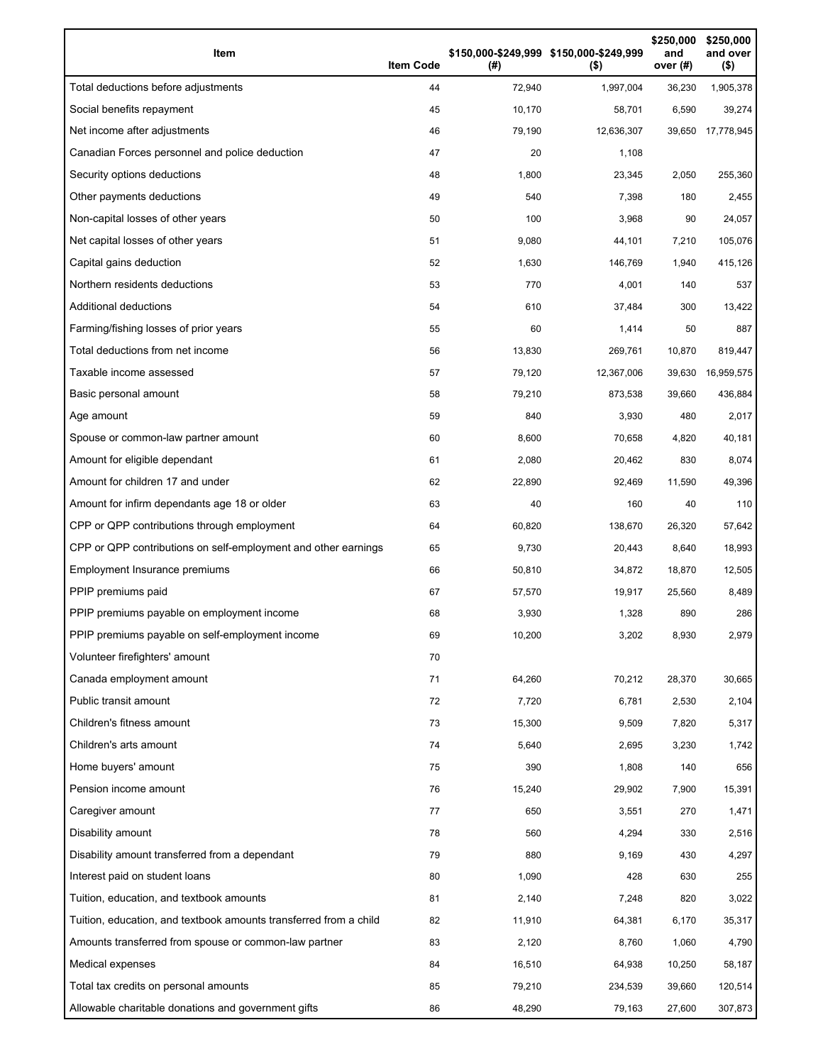| Item                                                              | <b>Item Code</b> | (#)    | \$150,000-\$249,999 \$150,000-\$249,999<br>$($ \$) | \$250,000<br>and<br>over (#) | \$250,000<br>and over<br>$($ \$) |
|-------------------------------------------------------------------|------------------|--------|----------------------------------------------------|------------------------------|----------------------------------|
| Total deductions before adjustments                               | 44               | 72,940 | 1,997,004                                          | 36,230                       | 1,905,378                        |
| Social benefits repayment                                         | 45               | 10,170 | 58,701                                             | 6,590                        | 39,274                           |
| Net income after adjustments                                      | 46               | 79,190 | 12,636,307                                         |                              | 39,650 17,778,945                |
| Canadian Forces personnel and police deduction                    | 47               | 20     | 1,108                                              |                              |                                  |
| Security options deductions                                       | 48               | 1,800  | 23,345                                             | 2,050                        | 255,360                          |
| Other payments deductions                                         | 49               | 540    | 7,398                                              | 180                          | 2,455                            |
| Non-capital losses of other years                                 | 50               | 100    | 3,968                                              | 90                           | 24,057                           |
| Net capital losses of other years                                 | 51               | 9,080  | 44,101                                             | 7,210                        | 105,076                          |
| Capital gains deduction                                           | 52               | 1,630  | 146,769                                            | 1,940                        | 415,126                          |
| Northern residents deductions                                     | 53               | 770    | 4,001                                              | 140                          | 537                              |
| <b>Additional deductions</b>                                      | 54               | 610    | 37,484                                             | 300                          | 13,422                           |
| Farming/fishing losses of prior years                             | 55               | 60     | 1,414                                              | 50                           | 887                              |
| Total deductions from net income                                  | 56               | 13,830 | 269,761                                            | 10,870                       | 819,447                          |
| Taxable income assessed                                           | 57               | 79,120 | 12,367,006                                         | 39,630                       | 16,959,575                       |
| Basic personal amount                                             | 58               | 79,210 | 873,538                                            | 39,660                       | 436,884                          |
| Age amount                                                        | 59               | 840    | 3,930                                              | 480                          | 2,017                            |
| Spouse or common-law partner amount                               | 60               | 8,600  | 70,658                                             | 4,820                        | 40,181                           |
| Amount for eligible dependant                                     | 61               | 2,080  | 20,462                                             | 830                          | 8,074                            |
| Amount for children 17 and under                                  | 62               | 22,890 | 92,469                                             | 11,590                       | 49,396                           |
| Amount for infirm dependants age 18 or older                      | 63               | 40     | 160                                                | 40                           | 110                              |
| CPP or QPP contributions through employment                       | 64               | 60,820 | 138,670                                            | 26,320                       | 57,642                           |
| CPP or QPP contributions on self-employment and other earnings    | 65               | 9,730  | 20,443                                             | 8,640                        | 18,993                           |
| Employment Insurance premiums                                     | 66               | 50,810 | 34,872                                             | 18,870                       | 12,505                           |
| PPIP premiums paid                                                | 67               | 57,570 | 19,917                                             | 25,560                       | 8,489                            |
| PPIP premiums payable on employment income                        | 68               | 3,930  | 1,328                                              | 890                          | 286                              |
| PPIP premiums payable on self-employment income                   | 69               | 10,200 | 3,202                                              | 8,930                        | 2,979                            |
| Volunteer firefighters' amount                                    | 70               |        |                                                    |                              |                                  |
| Canada employment amount                                          | 71               | 64,260 | 70,212                                             | 28,370                       | 30,665                           |
| Public transit amount                                             | 72               | 7,720  | 6,781                                              | 2,530                        | 2,104                            |
| Children's fitness amount                                         | 73               | 15,300 | 9,509                                              | 7,820                        | 5,317                            |
| Children's arts amount                                            | 74               | 5,640  | 2,695                                              | 3,230                        | 1,742                            |
| Home buyers' amount                                               | 75               | 390    | 1,808                                              | 140                          | 656                              |
| Pension income amount                                             | 76               | 15,240 | 29,902                                             | 7,900                        | 15,391                           |
| Caregiver amount                                                  | 77               | 650    | 3,551                                              | 270                          | 1,471                            |
| Disability amount                                                 | 78               | 560    | 4,294                                              | 330                          | 2,516                            |
| Disability amount transferred from a dependant                    | 79               | 880    | 9,169                                              | 430                          | 4,297                            |
| Interest paid on student loans                                    | 80               | 1,090  | 428                                                | 630                          | 255                              |
| Tuition, education, and textbook amounts                          | 81               | 2,140  | 7,248                                              | 820                          | 3,022                            |
| Tuition, education, and textbook amounts transferred from a child | 82               | 11,910 | 64,381                                             | 6,170                        | 35,317                           |
| Amounts transferred from spouse or common-law partner             | 83               | 2,120  | 8,760                                              | 1,060                        | 4,790                            |
| Medical expenses                                                  | 84               | 16,510 | 64,938                                             | 10,250                       | 58,187                           |
| Total tax credits on personal amounts                             | 85               | 79,210 | 234,539                                            | 39,660                       | 120,514                          |
| Allowable charitable donations and government gifts               | 86               | 48,290 | 79,163                                             | 27,600                       | 307,873                          |